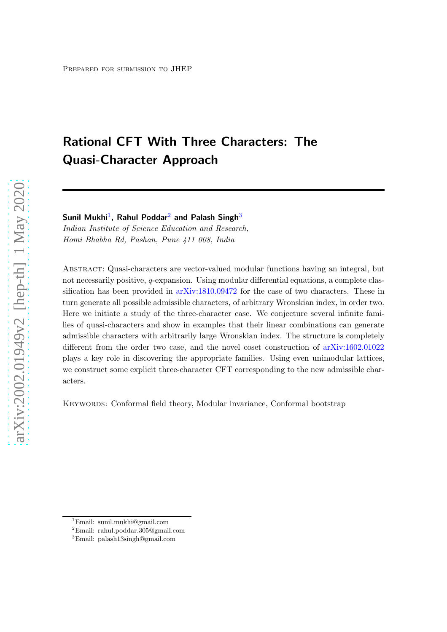# Rational CFT With Three Characters: The Quasi-Character Approach

Sunil Mukhi<sup>[1](#page-0-0)</sup>, Rahul Poddar<sup>[2](#page-0-1)</sup> and Palash Singh<sup>[3](#page-0-2)</sup>

Indian Institute of Science Education and Research, Homi Bhabha Rd, Pashan, Pune 411 008, India

Abstract: Quasi-characters are vector-valued modular functions having an integral, but not necessarily positive,  $q$ -expansion. Using modular differential equations, a complete classification has been provided in [arXiv:1810.09472](https://arxiv.org/abs/1810.09472) for the case of two characters. These in turn generate all possible admissible characters, of arbitrary Wronskian index, in order two. Here we initiate a study of the three-character case. We conjecture several infinite families of quasi-characters and show in examples that their linear combinations can generate admissible characters with arbitrarily large Wronskian index. The structure is completely different from the order two case, and the novel coset construction of [arXiv:1602.01022](https://arxiv.org/abs/1602.01022) plays a key role in discovering the appropriate families. Using even unimodular lattices, we construct some explicit three-character CFT corresponding to the new admissible characters.

Keywords: Conformal field theory, Modular invariance, Conformal bootstrap

<sup>1</sup>Email: sunil.mukhi@gmail.com

<span id="page-0-0"></span> $^2$ Email: rahul.poddar.305@gmail.com

<span id="page-0-2"></span><span id="page-0-1"></span><sup>3</sup>Email: palash13singh@gmail.com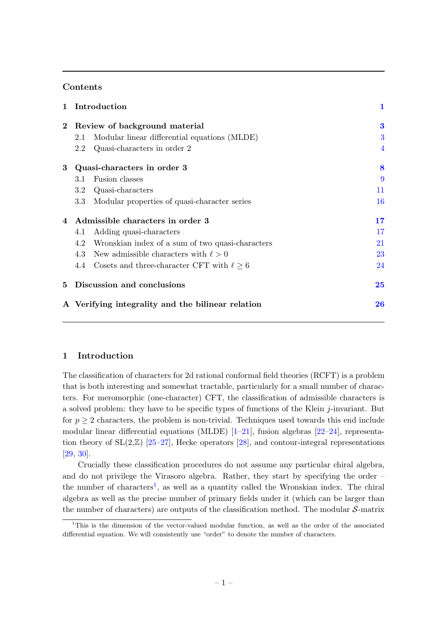### Contents

| 1        | Introduction                                      |                                                       | 1              |
|----------|---------------------------------------------------|-------------------------------------------------------|----------------|
| $\bf{2}$ | Review of background material                     |                                                       |                |
|          | 2.1                                               | Modular linear differential equations (MLDE)          | 3              |
|          | 2.2                                               | Quasi-characters in order 2                           | $\overline{4}$ |
| 3        | Quasi-characters in order 3                       | 8                                                     |                |
|          | 3.1                                               | Fusion classes                                        | 9              |
|          | $3.2\,$                                           | Quasi-characters                                      | 11             |
|          | 3.3                                               | Modular properties of quasi-character series          | 16             |
| 4        | Admissible characters in order 3                  | 17                                                    |                |
|          | 4.1                                               | Adding quasi-characters                               | 17             |
|          | 4.2                                               | Wronskian index of a sum of two quasi-characters      | 21             |
|          | 4.3                                               | New admissible characters with $\ell > 0$             | 23             |
|          |                                                   | 4.4 Cosets and three-character CFT with $\ell \geq 6$ | 24             |
| 5        |                                                   | Discussion and conclusions                            | 25             |
|          | A Verifying integrality and the bilinear relation |                                                       |                |

### <span id="page-1-0"></span>1 Introduction

The classification of characters for 2d rational conformal field theories (RCFT) is a problem that is both interesting and somewhat tractable, particularly for a small number of characters. For meromorphic (one-character) CFT, the classification of admissible characters is a solved problem: they have to be specific types of functions of the Klein j-invariant. But for  $p \geq 2$  characters, the problem is non-trivial. Techniques used towards this end include modular linear differential equations (MLDE)  $[1-21]$ , fusion algebras  $[22-24]$ , representation theory of  $SL(2,\mathbb{Z})$  [\[25](#page-29-3)[–27](#page-29-4)], Hecke operators [\[28\]](#page-29-5), and contour-integral representations [\[29](#page-29-6), [30\]](#page-29-7).

Crucially these classification procedures do not assume any particular chiral algebra, and do not privilege the Virasoro algebra. Rather, they start by specifying the order – the number of characters<sup>[1](#page-1-1)</sup>, as well as a quantity called the Wronskian index. The chiral algebra as well as the precise number of primary fields under it (which can be larger than the number of characters) are outputs of the classification method. The modular  $S$ -matrix

<span id="page-1-1"></span><sup>&</sup>lt;sup>1</sup>This is the dimension of the vector-valued modular function, as well as the order of the associated differential equation. We will consistently use "order" to denote the number of characters.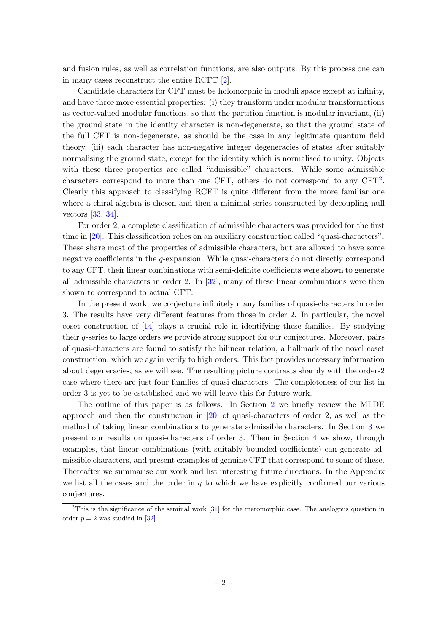and fusion rules, as well as correlation functions, are also outputs. By this process one can in many cases reconstruct the entire RCFT [\[2](#page-27-1)].

Candidate characters for CFT must be holomorphic in moduli space except at infinity, and have three more essential properties: (i) they transform under modular transformations as vector-valued modular functions, so that the partition function is modular invariant, (ii) the ground state in the identity character is non-degenerate, so that the ground state of the full CFT is non-degenerate, as should be the case in any legitimate quantum field theory, (iii) each character has non-negative integer degeneracies of states after suitably normalising the ground state, except for the identity which is normalised to unity. Objects with these three properties are called "admissible" characters. While some admissible characters correspond to more than one CFT, others do not correspond to any  $CFT<sup>2</sup>$  $CFT<sup>2</sup>$  $CFT<sup>2</sup>$ . Clearly this approach to classifying RCFT is quite different from the more familiar one where a chiral algebra is chosen and then a minimal series constructed by decoupling null vectors [\[33](#page-29-8), [34\]](#page-29-9).

For order 2, a complete classification of admissible characters was provided for the first time in [\[20\]](#page-29-10). This classification relies on an auxiliary construction called "quasi-characters". These share most of the properties of admissible characters, but are allowed to have some negative coefficients in the q-expansion. While quasi-characters do not directly correspond to any CFT, their linear combinations with semi-definite coefficients were shown to generate all admissible characters in order 2. In [\[32](#page-29-11)], many of these linear combinations were then shown to correspond to actual CFT.

In the present work, we conjecture infinitely many families of quasi-characters in order 3. The results have very different features from those in order 2. In particular, the novel coset construction of [\[14](#page-28-0)] plays a crucial role in identifying these families. By studying their q-series to large orders we provide strong support for our conjectures. Moreover, pairs of quasi-characters are found to satisfy the bilinear relation, a hallmark of the novel coset construction, which we again verify to high orders. This fact provides necessary information about degeneracies, as we will see. The resulting picture contrasts sharply with the order-2 case where there are just four families of quasi-characters. The completeness of our list in order 3 is yet to be established and we will leave this for future work.

The outline of this paper is as follows. In Section [2](#page-3-0) we briefly review the MLDE approach and then the construction in [\[20\]](#page-29-10) of quasi-characters of order 2, as well as the method of taking linear combinations to generate admissible characters. In Section [3](#page-8-0) we present our results on quasi-characters of order 3. Then in Section [4](#page-17-0) we show, through examples, that linear combinations (with suitably bounded coefficients) can generate admissible characters, and present examples of genuine CFT that correspond to some of these. Thereafter we summarise our work and list interesting future directions. In the Appendix we list all the cases and the order in  $q$  to which we have explicitly confirmed our various conjectures.

<span id="page-2-0"></span><sup>&</sup>lt;sup>2</sup>This is the significance of the seminal work  $[31]$  for the meromorphic case. The analogous question in order  $p = 2$  was studied in [\[32](#page-29-11)].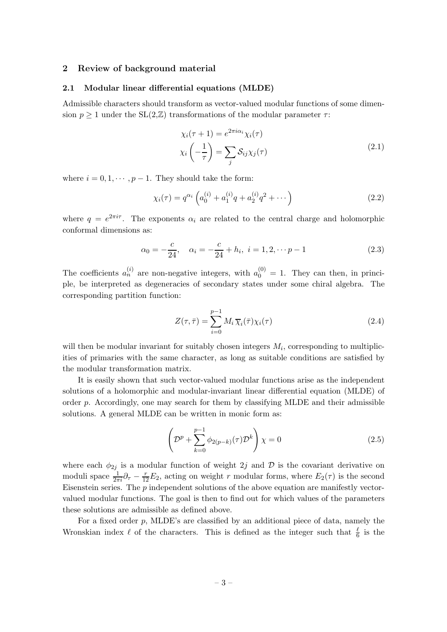### <span id="page-3-1"></span><span id="page-3-0"></span>2 Review of background material

### 2.1 Modular linear differential equations (MLDE)

Admissible characters should transform as vector-valued modular functions of some dimension  $p \geq 1$  under the SL(2, \mum ) transformations of the modular parameter  $\tau$ :

$$
\chi_i(\tau + 1) = e^{2\pi i \alpha_i} \chi_i(\tau)
$$

$$
\chi_i\left(-\frac{1}{\tau}\right) = \sum_j \mathcal{S}_{ij}\chi_j(\tau)
$$
(2.1)

where  $i = 0, 1, \dots, p-1$ . They should take the form:

<span id="page-3-2"></span>
$$
\chi_i(\tau) = q^{\alpha_i} \left( a_0^{(i)} + a_1^{(i)} q + a_2^{(i)} q^2 + \cdots \right)
$$
 (2.2)

where  $q = e^{2\pi i \tau}$ . The exponents  $\alpha_i$  are related to the central charge and holomorphic conformal dimensions as:

$$
\alpha_0 = -\frac{c}{24}, \quad \alpha_i = -\frac{c}{24} + h_i, \ i = 1, 2, \cdots p - 1 \tag{2.3}
$$

The coefficients  $a_n^{(i)}$  are non-negative integers, with  $a_0^{(0)} = 1$ . They can then, in principle, be interpreted as degeneracies of secondary states under some chiral algebra. The corresponding partition function:

$$
Z(\tau,\bar{\tau}) = \sum_{i=0}^{p-1} M_i \overline{\chi}_i(\bar{\tau}) \chi_i(\tau)
$$
\n(2.4)

will then be modular invariant for suitably chosen integers  $M_i$ , corresponding to multiplicities of primaries with the same character, as long as suitable conditions are satisfied by the modular transformation matrix.

It is easily shown that such vector-valued modular functions arise as the independent solutions of a holomorphic and modular-invariant linear differential equation (MLDE) of order p. Accordingly, one may search for them by classifying MLDE and their admissible solutions. A general MLDE can be written in monic form as:

<span id="page-3-3"></span>
$$
\left(\mathcal{D}^p + \sum_{k=0}^{p-1} \phi_{2(p-k)}(\tau) \mathcal{D}^k\right) \chi = 0 \tag{2.5}
$$

where each  $\phi_{2j}$  is a modular function of weight 2j and D is the covariant derivative on moduli space  $\frac{1}{2\pi i}\partial_{\tau} - \frac{r}{12}E_2$ , acting on weight r modular forms, where  $E_2(\tau)$  is the second Eisenstein series. The  $p$  independent solutions of the above equation are manifestly vectorvalued modular functions. The goal is then to find out for which values of the parameters these solutions are admissible as defined above.

For a fixed order  $p$ , MLDE's are classified by an additional piece of data, namely the Wronskian index  $\ell$  of the characters. This is defined as the integer such that  $\frac{\ell}{6}$  is the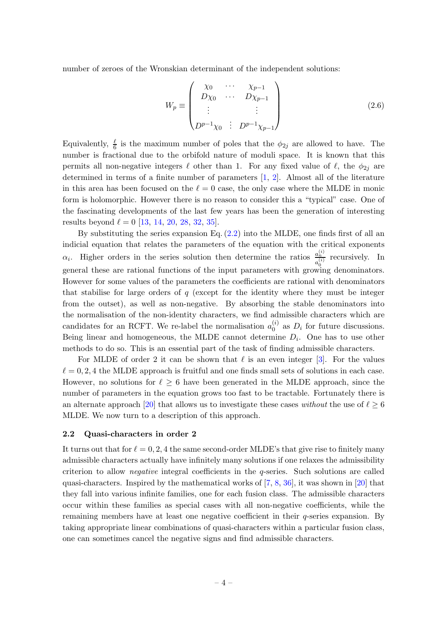number of zeroes of the Wronskian determinant of the independent solutions:

$$
W_p \equiv \begin{pmatrix} \chi_0 & \cdots & \chi_{p-1} \\ D\chi_0 & \cdots & D\chi_{p-1} \\ \vdots & & \vdots \\ D^{p-1}\chi_0 & \vdots & D^{p-1}\chi_{p-1} \end{pmatrix}
$$
 (2.6)

Equivalently,  $\frac{\ell}{6}$  is the maximum number of poles that the  $\phi_{2j}$  are allowed to have. The number is fractional due to the orbifold nature of moduli space. It is known that this permits all non-negative integers  $\ell$  other than 1. For any fixed value of  $\ell$ , the  $\phi_{2i}$  are determined in terms of a finite number of parameters [\[1](#page-27-0), [2](#page-27-1)]. Almost all of the literature in this area has been focused on the  $\ell = 0$  case, the only case where the MLDE in monic form is holomorphic. However there is no reason to consider this a "typical" case. One of the fascinating developments of the last few years has been the generation of interesting results beyond  $\ell = 0$  [\[13](#page-28-1), [14,](#page-28-0) [20](#page-29-10), [28,](#page-29-5) [32](#page-29-11), [35\]](#page-29-13).

By substituting the series expansion Eq.  $(2.2)$  into the MLDE, one finds first of all an indicial equation that relates the parameters of the equation with the critical exponents  $\alpha_i$ . Higher orders in the series solution then determine the ratios  $\frac{a_n^{(i)}}{a_{(i)}}$  $\frac{a_n}{a_0^{(i)}}$  recursively. In general these are rational functions of the input parameters with growing denominators. However for some values of the parameters the coefficients are rational with denominators that stabilise for large orders of  $q$  (except for the identity where they must be integer from the outset), as well as non-negative. By absorbing the stable denominators into the normalisation of the non-identity characters, we find admissible characters which are candidates for an RCFT. We re-label the normalisation  $a_0^{(i)}$  $\binom{v}{0}$  as  $D_i$  for future discussions. Being linear and homogeneous, the MLDE cannot determine  $D_i$ . One has to use other methods to do so. This is an essential part of the task of finding admissible characters.

For MLDE of order 2 it can be shown that  $\ell$  is an even integer [\[3](#page-28-2)]. For the values  $\ell = 0, 2, 4$  the MLDE approach is fruitful and one finds small sets of solutions in each case. However, no solutions for  $\ell \geq 6$  have been generated in the MLDE approach, since the number of parameters in the equation grows too fast to be tractable. Fortunately there is an alternate approach [\[20](#page-29-10)] that allows us to investigate these cases without the use of  $\ell \geq 6$ MLDE. We now turn to a description of this approach.

### <span id="page-4-0"></span>2.2 Quasi-characters in order 2

It turns out that for  $\ell = 0, 2, 4$  the same second-order MLDE's that give rise to finitely many admissible characters actually have infinitely many solutions if one relaxes the admissibility criterion to allow *negative* integral coefficients in the  $q$ -series. Such solutions are called quasi-characters. Inspired by the mathematical works of  $[7, 8, 36]$  $[7, 8, 36]$  $[7, 8, 36]$  $[7, 8, 36]$  $[7, 8, 36]$ , it was shown in [\[20](#page-29-10)] that they fall into various infinite families, one for each fusion class. The admissible characters occur within these families as special cases with all non-negative coefficients, while the remaining members have at least one negative coefficient in their q-series expansion. By taking appropriate linear combinations of quasi-characters within a particular fusion class, one can sometimes cancel the negative signs and find admissible characters.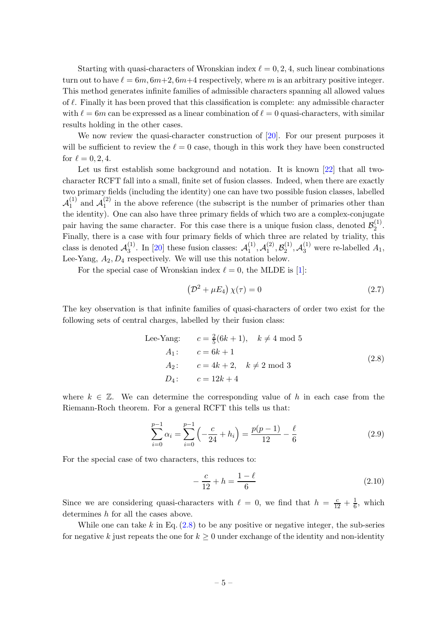Starting with quasi-characters of Wronskian index  $\ell = 0, 2, 4$ , such linear combinations turn out to have  $\ell = 6m, 6m+2, 6m+4$  respectively, where m is an arbitrary positive integer. This method generates infinite families of admissible characters spanning all allowed values of  $\ell$ . Finally it has been proved that this classification is complete: any admissible character with  $\ell = 6m$  can be expressed as a linear combination of  $\ell = 0$  quasi-characters, with similar results holding in the other cases.

We now review the quasi-character construction of [\[20](#page-29-10)]. For our present purposes it will be sufficient to review the  $\ell = 0$  case, though in this work they have been constructed for  $\ell = 0, 2, 4$ .

Let us first establish some background and notation. It is known [\[22](#page-29-1)] that all twocharacter RCFT fall into a small, finite set of fusion classes. Indeed, when there are exactly two primary fields (including the identity) one can have two possible fusion classes, labelled  $\mathcal{A}^{(1)}_1$  $_1^{(1)}$  and  $\mathcal{A}_1^{(2)}$  $\binom{1}{1}$  in the above reference (the subscript is the number of primaries other than the identity). One can also have three primary fields of which two are a complex-conjugate pair having the same character. For this case there is a unique fusion class, denoted  $\mathcal{B}_2^{(1)}$  $\frac{(1)}{2}$ . Finally, there is a case with four primary fields of which three are related by triality, this class is denoted  $\mathcal{A}_3^{(1)}$  $_3^{(1)}$ . In [\[20](#page-29-10)] these fusion classes:  $\mathcal{A}_1^{(1)}$  $\overset{(1)}{1}, \mathcal{A}^{(2)}_1$  $\mathcal{B}_1^{(2)}, \mathcal{B}_2^{(1)}$  $\mathcal{A}_2^{(1)}$ ,  $\mathcal{A}_3^{(1)}$  were re-labelled  $A_1$ , Lee-Yang,  $A_2, D_4$  respectively. We will use this notation below.

For the special case of Wronskian index  $\ell = 0$ , the MLDE is [\[1](#page-27-0)]:

$$
\left(\mathcal{D}^2 + \mu E_4\right)\chi(\tau) = 0\tag{2.7}
$$

The key observation is that infinite families of quasi-characters of order two exist for the following sets of central charges, labelled by their fusion class:

Lee-Yang: 
$$
c = \frac{2}{5}(6k+1), \quad k \neq 4 \text{ mod } 5
$$
  
\n $A_1: \quad c = 6k+1$   
\n $A_2: \quad c = 4k+2, \quad k \neq 2 \text{ mod } 3$   
\n $D_4: \quad c = 12k+4$  (2.8)

<span id="page-5-0"></span>where  $k \in \mathbb{Z}$ . We can determine the corresponding value of h in each case from the Riemann-Roch theorem. For a general RCFT this tells us that:

<span id="page-5-1"></span>
$$
\sum_{i=0}^{p-1} \alpha_i = \sum_{i=0}^{p-1} \left( -\frac{c}{24} + h_i \right) = \frac{p(p-1)}{12} - \frac{\ell}{6}
$$
 (2.9)

For the special case of two characters, this reduces to:

$$
-\frac{c}{12} + h = \frac{1 - \ell}{6} \tag{2.10}
$$

Since we are considering quasi-characters with  $\ell = 0$ , we find that  $h = \frac{c}{12} + \frac{1}{6}$  $\frac{1}{6}$ , which determines h for all the cases above.

While one can take k in Eq.  $(2.8)$  to be any positive or negative integer, the sub-series for negative k just repeats the one for  $k \geq 0$  under exchange of the identity and non-identity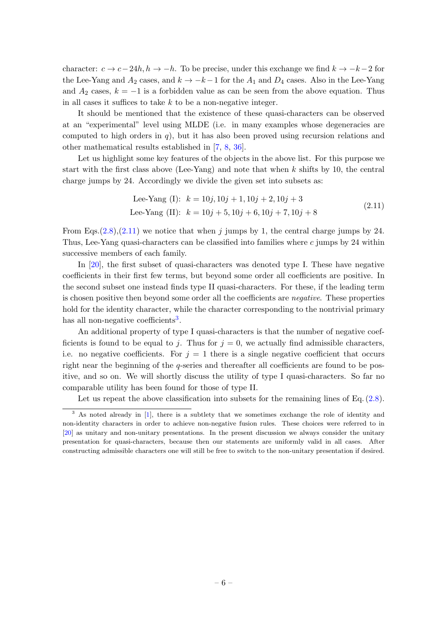character:  $c \to c-24h, h \to -h$ . To be precise, under this exchange we find  $k \to -k-2$  for the Lee-Yang and  $A_2$  cases, and  $k \to -k-1$  for the  $A_1$  and  $D_4$  cases. Also in the Lee-Yang and  $A_2$  cases,  $k = -1$  is a forbidden value as can be seen from the above equation. Thus in all cases it suffices to take  $k$  to be a non-negative integer.

It should be mentioned that the existence of these quasi-characters can be observed at an "experimental" level using MLDE (i.e. in many examples whose degeneracies are computed to high orders in q), but it has also been proved using recursion relations and other mathematical results established in [\[7](#page-28-3), [8](#page-28-4), [36\]](#page-30-0).

Let us highlight some key features of the objects in the above list. For this purpose we start with the first class above (Lee-Yang) and note that when  $k$  shifts by 10, the central charge jumps by 24. Accordingly we divide the given set into subsets as:

Lee-Yang (I): 
$$
k = 10j, 10j + 1, 10j + 2, 10j + 3
$$
  
Lee-Yang (II):  $k = 10j + 5, 10j + 6, 10j + 7, 10j + 8$  (2.11)

<span id="page-6-0"></span>From Eqs. $(2.8)$ , $(2.11)$  we notice that when j jumps by 1, the central charge jumps by 24. Thus, Lee-Yang quasi-characters can be classified into families where c jumps by 24 within successive members of each family.

In [\[20](#page-29-10)], the first subset of quasi-characters was denoted type I. These have negative coefficients in their first few terms, but beyond some order all coefficients are positive. In the second subset one instead finds type II quasi-characters. For these, if the leading term is chosen positive then beyond some order all the coefficients are negative. These properties hold for the identity character, while the character corresponding to the nontrivial primary has all non-negative coefficients<sup>[3](#page-6-1)</sup>.

An additional property of type I quasi-characters is that the number of negative coefficients is found to be equal to j. Thus for  $j = 0$ , we actually find admissible characters, i.e. no negative coefficients. For  $j = 1$  there is a single negative coefficient that occurs right near the beginning of the  $q$ -series and thereafter all coefficients are found to be positive, and so on. We will shortly discuss the utility of type I quasi-characters. So far no comparable utility has been found for those of type II.

Let us repeat the above classification into subsets for the remaining lines of Eq.  $(2.8)$ .

<span id="page-6-1"></span><sup>&</sup>lt;sup>3</sup> As noted already in [\[1](#page-27-0)], there is a subtlety that we sometimes exchange the role of identity and non-identity characters in order to achieve non-negative fusion rules. These choices were referred to in [\[20](#page-29-10)] as unitary and non-unitary presentations. In the present discussion we always consider the unitary presentation for quasi-characters, because then our statements are uniformly valid in all cases. After constructing admissible characters one will still be free to switch to the non-unitary presentation if desired.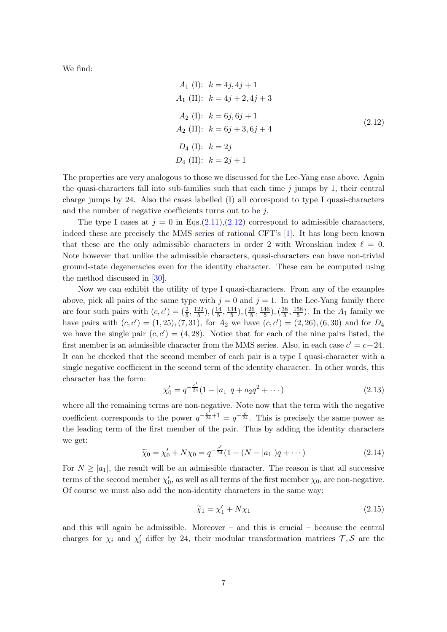<span id="page-7-0"></span>We find:

$$
A_1 \text{ (I): } k = 4j, 4j + 1
$$
\n
$$
A_1 \text{ (II): } k = 4j + 2, 4j + 3
$$
\n
$$
A_2 \text{ (I): } k = 6j, 6j + 1
$$
\n
$$
A_2 \text{ (II): } k = 6j + 3, 6j + 4
$$
\n
$$
D_4 \text{ (I): } k = 2j
$$
\n
$$
D_4 \text{ (II): } k = 2j + 1
$$
\n(2.12)

The properties are very analogous to those we discussed for the Lee-Yang case above. Again the quasi-characters fall into sub-families such that each time  $j$  jumps by 1, their central charge jumps by 24. Also the cases labelled (I) all correspond to type I quasi-characters and the number of negative coefficients turns out to be j.

The type I cases at  $j = 0$  in Eqs.[\(2.11\)](#page-6-0),[\(2.12\)](#page-7-0) correspond to admissible charaacters, indeed these are precisely the MMS series of rational CFT's [\[1](#page-27-0)]. It has long been known that these are the only admissible characters in order 2 with Wronskian index  $\ell = 0$ . Note however that unlike the admissible characters, quasi-characters can have non-trivial ground-state degeneracies even for the identity character. These can be computed using the method discussed in [\[30](#page-29-7)].

Now we can exhibit the utility of type I quasi-characters. From any of the examples above, pick all pairs of the same type with  $j = 0$  and  $j = 1$ . In the Lee-Yang family there are four such pairs with  $(c, c') = (\frac{2}{5}, \frac{122}{5})$  $\left(\frac{22}{5}\right), \left(\frac{14}{5}\right)$  $\frac{14}{5}, \frac{134}{5}$  $\frac{34}{5}$ ),  $\left(\frac{26}{5}\right)$  $\frac{26}{5}, \frac{146}{5}$  $\frac{46}{5}$ ),  $\left(\frac{38}{5}\right)$  $\frac{38}{5}, \frac{158}{5}$  $\frac{58}{5}$ ). In the  $A_1$  family we have pairs with  $(c, c') = (1, 25), (7, 31)$ , for  $A_2$  we have  $(c, c') = (2, 26), (6, 30)$  and for  $D_4$ we have the single pair  $(c, c') = (4, 28)$ . Notice that for each of the nine pairs listed, the first member is an admissible character from the MMS series. Also, in each case  $c' = c + 24$ . It can be checked that the second member of each pair is a type I quasi-character with a single negative coefficient in the second term of the identity character. In other words, this character has the form: ′

$$
\chi_0' = q^{-\frac{c'}{24}} (1 - |a_1| \, q + a_2 q^2 + \cdots)
$$
\n(2.13)

where all the remaining terms are non-negative. Note now that the term with the negative coefficient corresponds to the power  $q^{-\frac{c'}{24}+1} = q^{-\frac{c}{24}}$ . This is precisely the same power as the leading term of the first member of the pair. Thus by adding the identity characters we get:

<span id="page-7-1"></span>
$$
\widetilde{\chi}_0 = \chi'_0 + N\chi_0 = q^{-\frac{c'}{24}}(1 + (N - |a_1|)q + \cdots)
$$
\n(2.14)

For  $N \geq |a_1|$ , the result will be an admissible character. The reason is that all successive terms of the second member  $\chi'_0$ , as well as all terms of the first member  $\chi_0$ , are non-negative. Of course we must also add the non-identity characters in the same way:

<span id="page-7-2"></span>
$$
\widetilde{\chi}_1 = \chi'_1 + N\chi_1 \tag{2.15}
$$

and this will again be admissible. Moreover – and this is crucial – because the central charges for  $\chi_i$  and  $\chi'_i$  differ by 24, their modular transformation matrices  $\mathcal{T}, \mathcal{S}$  are the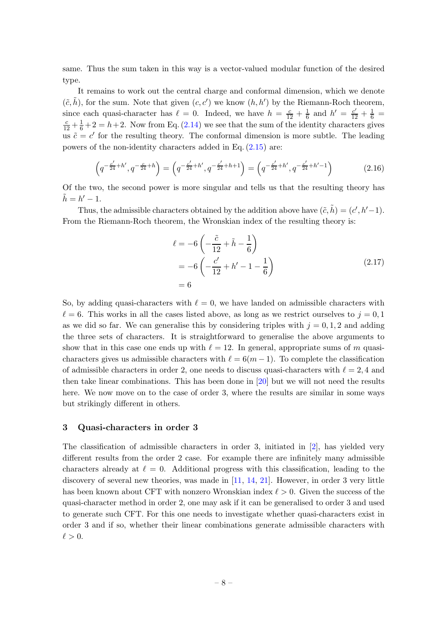same. Thus the sum taken in this way is a vector-valued modular function of the desired type.

It remains to work out the central charge and conformal dimension, which we denote  $(\tilde{c}, \tilde{h})$ , for the sum. Note that given  $(c, c')$  we know  $(h, h')$  by the Riemann-Roch theorem, since each quasi-character has  $\ell = 0$ . Indeed, we have  $h = \frac{c}{12} + \frac{1}{6}$  $\frac{1}{6}$  and  $h' = \frac{c'}{12} + \frac{1}{6} =$  $\frac{c}{12} + \frac{1}{6} + 2 = h + 2$ . Now from Eq. [\(2.14\)](#page-7-1) we see that the sum of the identity characters gives us  $\tilde{c} = c'$  for the resulting theory. The conformal dimension is more subtle. The leading powers of the non-identity characters added in Eq. [\(2.15\)](#page-7-2) are:

$$
\left(q^{-\frac{c'}{24}+h'}, q^{-\frac{c}{24}+h}\right) = \left(q^{-\frac{c'}{24}+h'}, q^{-\frac{c'}{24}+h+1}\right) = \left(q^{-\frac{c'}{24}+h'}, q^{-\frac{c'}{24}+h'-1}\right)
$$
(2.16)

Of the two, the second power is more singular and tells us that the resulting theory has  $\tilde{h} = h' - 1.$ 

Thus, the admissible characters obtained by the addition above have  $(\tilde{c}, \tilde{h}) = (c', h'-1)$ . From the Riemann-Roch theorem, the Wronskian index of the resulting theory is:

$$
\ell = -6 \left( -\frac{\tilde{c}}{12} + \tilde{h} - \frac{1}{6} \right) \n= -6 \left( -\frac{c'}{12} + h' - 1 - \frac{1}{6} \right) \n= 6
$$
\n(2.17)

So, by adding quasi-characters with  $\ell = 0$ , we have landed on admissible characters with  $\ell = 6$ . This works in all the cases listed above, as long as we restrict ourselves to  $j = 0, 1$ as we did so far. We can generalise this by considering triples with  $j = 0, 1, 2$  and adding the three sets of characters. It is straightforward to generalise the above arguments to show that in this case one ends up with  $\ell = 12$ . In general, appropriate sums of m quasicharacters gives us admissible characters with  $\ell = 6(m-1)$ . To complete the classification of admissible characters in order 2, one needs to discuss quasi-characters with  $\ell = 2, 4$  and then take linear combinations. This has been done in [\[20\]](#page-29-10) but we will not need the results here. We now move on to the case of order 3, where the results are similar in some ways but strikingly different in others.

### <span id="page-8-0"></span>3 Quasi-characters in order 3

The classification of admissible characters in order 3, initiated in [\[2](#page-27-1)], has yielded very different results from the order 2 case. For example there are infinitely many admissible characters already at  $\ell = 0$ . Additional progress with this classification, leading to the discovery of several new theories, was made in  $[11, 14, 21]$  $[11, 14, 21]$  $[11, 14, 21]$  $[11, 14, 21]$  $[11, 14, 21]$ . However, in order 3 very little has been known about CFT with nonzero Wronskian index  $\ell > 0$ . Given the success of the quasi-character method in order 2, one may ask if it can be generalised to order 3 and used to generate such CFT. For this one needs to investigate whether quasi-characters exist in order 3 and if so, whether their linear combinations generate admissible characters with  $\ell > 0$ .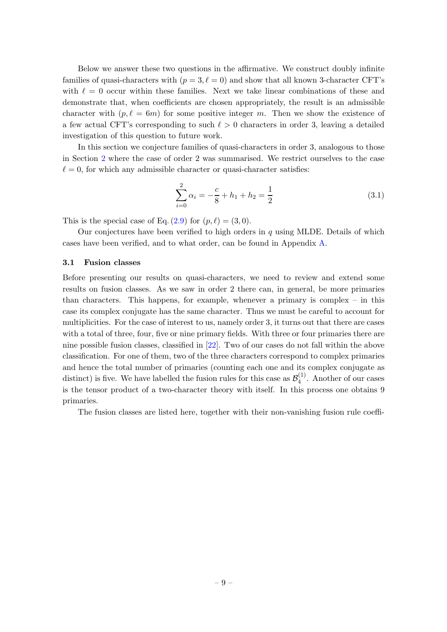Below we answer these two questions in the affirmative. We construct doubly infinite families of quasi-characters with  $(p = 3, \ell = 0)$  and show that all known 3-character CFT's with  $\ell = 0$  occur within these families. Next we take linear combinations of these and demonstrate that, when coefficients are chosen appropriately, the result is an admissible character with  $(p, \ell = 6m)$  for some positive integer m. Then we show the existence of a few actual CFT's corresponding to such  $\ell > 0$  characters in order 3, leaving a detailed investigation of this question to future work.

In this section we conjecture families of quasi-characters in order 3, analogous to those in Section [2](#page-3-0) where the case of order 2 was summarised. We restrict ourselves to the case  $\ell = 0$ , for which any admissible character or quasi-character satisfies:

<span id="page-9-1"></span>
$$
\sum_{i=0}^{2} \alpha_i = -\frac{c}{8} + h_1 + h_2 = \frac{1}{2}
$$
 (3.1)

This is the special case of Eq.  $(2.9)$  for  $(p, \ell) = (3, 0)$ .

Our conjectures have been verified to high orders in  $q$  using MLDE. Details of which cases have been verified, and to what order, can be found in Appendix [A.](#page-26-0)

### <span id="page-9-0"></span>3.1 Fusion classes

Before presenting our results on quasi-characters, we need to review and extend some results on fusion classes. As we saw in order 2 there can, in general, be more primaries than characters. This happens, for example, whenever a primary is complex – in this case its complex conjugate has the same character. Thus we must be careful to account for multiplicities. For the case of interest to us, namely order 3, it turns out that there are cases with a total of three, four, five or nine primary fields. With three or four primaries there are nine possible fusion classes, classified in [\[22\]](#page-29-1). Two of our cases do not fall within the above classification. For one of them, two of the three characters correspond to complex primaries and hence the total number of primaries (counting each one and its complex conjugate as distinct) is five. We have labelled the fusion rules for this case as  $\mathcal{B}_4^{(1)}$  $\binom{1}{4}$ . Another of our cases is the tensor product of a two-character theory with itself. In this process one obtains 9 primaries.

The fusion classes are listed here, together with their non-vanishing fusion rule coeffi-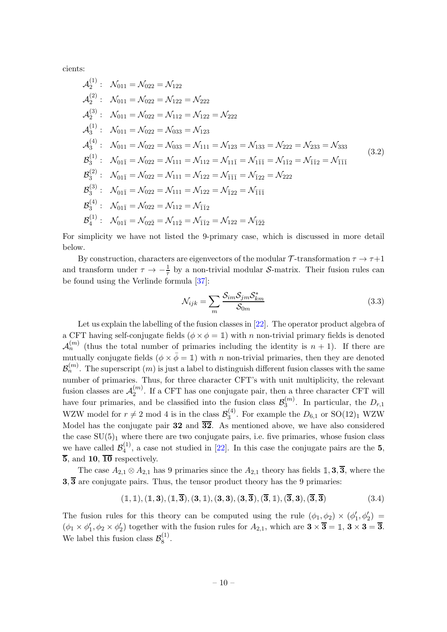cients:

$$
\mathcal{A}_{2}^{(1)}: \quad \mathcal{N}_{011} = \mathcal{N}_{022} = \mathcal{N}_{122}
$$
\n
$$
\mathcal{A}_{2}^{(2)}: \quad \mathcal{N}_{011} = \mathcal{N}_{022} = \mathcal{N}_{122} = \mathcal{N}_{222}
$$
\n
$$
\mathcal{A}_{2}^{(3)}: \quad \mathcal{N}_{011} = \mathcal{N}_{022} = \mathcal{N}_{112} = \mathcal{N}_{122} = \mathcal{N}_{222}
$$
\n
$$
\mathcal{A}_{3}^{(4)}: \quad \mathcal{N}_{011} = \mathcal{N}_{022} = \mathcal{N}_{033} = \mathcal{N}_{123}
$$
\n
$$
\mathcal{A}_{3}^{(4)}: \quad \mathcal{N}_{011} = \mathcal{N}_{022} = \mathcal{N}_{033} = \mathcal{N}_{111} = \mathcal{N}_{123} = \mathcal{N}_{133} = \mathcal{N}_{222} = \mathcal{N}_{233} = \mathcal{N}_{333}
$$
\n
$$
\mathcal{B}_{3}^{(1)}: \quad \mathcal{N}_{01\bar{1}} = \mathcal{N}_{022} = \mathcal{N}_{111} = \mathcal{N}_{112} = \mathcal{N}_{11\bar{1}} = \mathcal{N}_{1\bar{1}\bar{1}} = \mathcal{N}_{1\bar{1}2} = \mathcal{N}_{\bar{1}\bar{1}\bar{1}}
$$
\n
$$
\mathcal{B}_{3}^{(2)}: \quad \mathcal{N}_{01\bar{1}} = \mathcal{N}_{022} = \mathcal{N}_{111} = \mathcal{N}_{122} = \mathcal{N}_{\bar{1}1\bar{1}} = \mathcal{N}_{\bar{1}22} = \mathcal{N}_{222}
$$
\n
$$
\mathcal{B}_{3}^{(3)}: \quad \mathcal{N}_{01\bar{1}} = \mathcal{N}_{022} = \mathcal{N}_{111} = \mathcal{N}_{122} = \mathcal{N}_{\bar{1}1\bar{1}}
$$
\n
$$
\mathcal{B}_{3}^{(4)}: \quad \mathcal{N}_{01\bar{1}} = \mathcal{N}_{022} =
$$

For simplicity we have not listed the 9-primary case, which is discussed in more detail below.

By construction, characters are eigenvectors of the modular  $\mathcal{T}$ -transformation  $\tau \to \tau+1$ and transform under  $\tau \to -\frac{1}{\tau}$  by a non-trivial modular S-matrix. Their fusion rules can be found using the Verlinde formula [\[37](#page-30-1)]:

$$
\mathcal{N}_{ijk} = \sum_{m} \frac{\mathcal{S}_{im} \mathcal{S}_{jm} \mathcal{S}_{km}^*}{\mathcal{S}_{0m}}
$$
\n(3.3)

Let us explain the labelling of the fusion classes in [\[22](#page-29-1)]. The operator product algebra of a CFT having self-conjugate fields  $(\phi \times \phi = 1)$  with n non-trivial primary fields is denoted  $\mathcal{A}_n^{(m)}$  (thus the total number of primaries including the identity is  $n+1$ ). If there are mutually conjugate fields  $(\phi \times \bar{\phi} = 1)$  with n non-trivial primaries, then they are denoted  $\mathcal{B}_n^{(m)}.$  The superscript  $(m)$  is just a label to distinguish different fusion classes with the same number of primaries. Thus, for three character CFT's with unit multiplicity, the relevant fusion classes are  $\mathcal{A}_{2}^{(m)}$  $2^{(m)}$ . If a CFT has one conjugate pair, then a three character CFT will have four primaries, and be classified into the fusion class  $\mathcal{B}_3^{(m)}$  $2^{(m)}_3$ . In particular, the  $D_{r,1}$ WZW model for  $r \neq 2 \mod 4$  is in the class  $\mathcal{B}_3^{(4)}$  $^{(4)}_3$ . For example the  $D_{6,1}$  or  $SO(12)_1$  WZW Model has the conjugate pair  $32$  and  $\overline{32}$ . As mentioned above, we have also considered the case  $SU(5)_1$  where there are two conjugate pairs, i.e. five primaries, whose fusion class we have called  $\mathcal{B}_4^{(1)}$  $\binom{1}{4}$ , a case not studied in [\[22](#page-29-1)]. In this case the conjugate pairs are the 5,  $\overline{5}$ , and 10,  $\overline{10}$  respectively.

The case  $A_{2,1} \otimes A_{2,1}$  has 9 primaries since the  $A_{2,1}$  theory has fields 1, 3, 3, where the  $3,\overline{3}$  are conjugate pairs. Thus, the tensor product theory has the 9 primaries:

$$
(\mathbb{1},\mathbb{1}), (\mathbb{1},3), (\mathbb{1},\overline{3}), (\mathbf{3},\mathbb{1}), (\mathbf{3},3), (\mathbf{3},\overline{3}), (\overline{3},\mathbb{1}), (\overline{3},3), (\overline{3},\overline{3})
$$
\n
$$
(3.4)
$$

The fusion rules for this theory can be computed using the rule  $(\phi_1, \phi_2) \times (\phi'_1, \phi'_2)$  $(\phi_1 \times \phi_1', \phi_2 \times \phi_2')$  together with the fusion rules for  $A_{2,1}$ , which are  $3 \times \overline{3} = 1, 3 \times 3 = \overline{3}$ . We label this fusion class  $\mathcal{B}_8^{(1)}$  $\frac{1}{8}$ .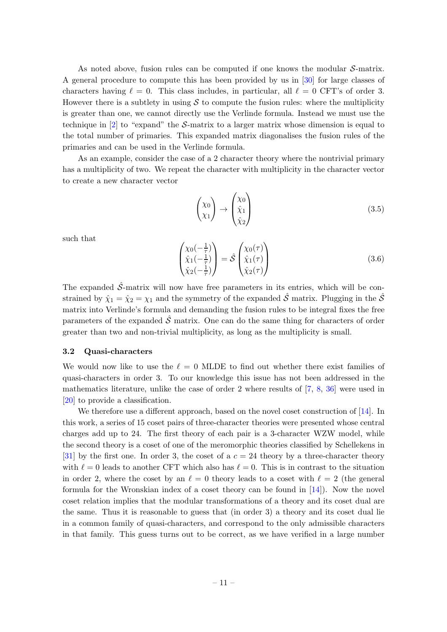As noted above, fusion rules can be computed if one knows the modular S-matrix. A general procedure to compute this has been provided by us in [\[30\]](#page-29-7) for large classes of characters having  $\ell = 0$ . This class includes, in particular, all  $\ell = 0$  CFT's of order 3. However there is a subtlety in using  $S$  to compute the fusion rules: where the multiplicity is greater than one, we cannot directly use the Verlinde formula. Instead we must use the technique in  $[2]$  to "expand" the S-matrix to a larger matrix whose dimension is equal to the total number of primaries. This expanded matrix diagonalises the fusion rules of the primaries and can be used in the Verlinde formula.

As an example, consider the case of a 2 character theory where the nontrivial primary has a multiplicity of two. We repeat the character with multiplicity in the character vector to create a new character vector

$$
\begin{pmatrix} \chi_0 \\ \chi_1 \end{pmatrix} \rightarrow \begin{pmatrix} \chi_0 \\ \hat{\chi}_1 \\ \hat{\chi}_2 \end{pmatrix} \tag{3.5}
$$

such that

$$
\begin{pmatrix} \chi_0(-\frac{1}{\tau}) \\ \hat{\chi}_1(-\frac{1}{\tau}) \\ \hat{\chi}_2(-\frac{1}{\tau}) \end{pmatrix} = \hat{\mathcal{S}} \begin{pmatrix} \chi_0(\tau) \\ \hat{\chi}_1(\tau) \\ \hat{\chi}_2(\tau) \end{pmatrix}
$$
(3.6)

The expanded  $\hat{\mathcal{S}}$ -matrix will now have free parameters in its entries, which will be constrained by  $\hat{\chi}_1 = \hat{\chi}_2 = \chi_1$  and the symmetry of the expanded  $\hat{\mathcal{S}}$  matrix. Plugging in the  $\hat{\mathcal{S}}$ matrix into Verlinde's formula and demanding the fusion rules to be integral fixes the free parameters of the expanded  $\hat{\mathcal{S}}$  matrix. One can do the same thing for characters of order greater than two and non-trivial multiplicity, as long as the multiplicity is small.

### <span id="page-11-0"></span>3.2 Quasi-characters

We would now like to use the  $\ell = 0$  MLDE to find out whether there exist families of quasi-characters in order 3. To our knowledge this issue has not been addressed in the mathematics literature, unlike the case of order 2 where results of [\[7](#page-28-3), [8,](#page-28-4) [36\]](#page-30-0) were used in [\[20](#page-29-10)] to provide a classification.

We therefore use a different approach, based on the novel coset construction of [\[14](#page-28-0)]. In this work, a series of 15 coset pairs of three-character theories were presented whose central charges add up to 24. The first theory of each pair is a 3-character WZW model, while the second theory is a coset of one of the meromorphic theories classified by Schellekens in [\[31](#page-29-12)] by the first one. In order 3, the coset of a  $c = 24$  theory by a three-character theory with  $\ell = 0$  leads to another CFT which also has  $\ell = 0$ . This is in contrast to the situation in order 2, where the coset by an  $\ell = 0$  theory leads to a coset with  $\ell = 2$  (the general formula for the Wronskian index of a coset theory can be found in [\[14\]](#page-28-0)). Now the novel coset relation implies that the modular transformations of a theory and its coset dual are the same. Thus it is reasonable to guess that (in order 3) a theory and its coset dual lie in a common family of quasi-characters, and correspond to the only admissible characters in that family. This guess turns out to be correct, as we have verified in a large number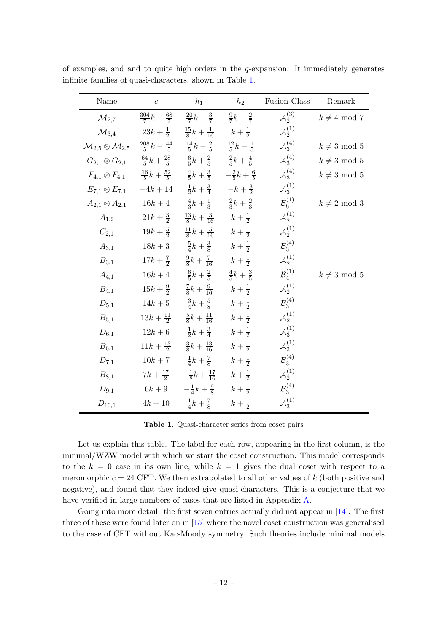| Name                                                                                                                                      | $\boldsymbol{c}$    | $h_1$                                                                                | $h_2$             | Fusion Class            | Remark            |
|-------------------------------------------------------------------------------------------------------------------------------------------|---------------------|--------------------------------------------------------------------------------------|-------------------|-------------------------|-------------------|
| $\mathcal{M}_{2.7}$                                                                                                                       |                     | $rac{304}{7}k - \frac{68}{7}$ $rac{20}{7}k - \frac{3}{7}$ $rac{9}{7}k - \frac{2}{7}$ |                   | ${\cal A}_{2}^{(3)}$    | $k \neq 4 \mod 7$ |
| $\mathcal{M}_{3,4}$                                                                                                                       |                     | $23k+\frac{1}{2}$ $\frac{15}{8}k+\frac{1}{16}$ $k+\frac{1}{2}$                       |                   | $\mathcal{A}^{(1)}_2$   |                   |
| $\mathcal{M}_{2,5} \otimes \mathcal{M}_{2,5}$ $\frac{208}{5}k - \frac{44}{5}$ $\frac{14}{5}k - \frac{2}{5}$ $\frac{12}{5}k - \frac{1}{5}$ |                     |                                                                                      |                   | ${\cal A}_3^{(4)}$      | $k \neq 3 \mod 5$ |
| $G_{2,1} \otimes G_{2,1}$ $\frac{64}{5}k + \frac{28}{5}$ $\frac{6}{5}k + \frac{2}{5}$ $\frac{2}{5}k + \frac{4}{5}$                        |                     |                                                                                      |                   | ${\cal A}_3^{(4)}$      | $k \neq 3 \mod 5$ |
| $F_{4,1} \otimes F_{4,1}$ $\frac{16}{5}k + \frac{52}{5}$ $\frac{4}{5}k + \frac{3}{5}$ $\frac{2}{5}k + \frac{6}{5}$                        |                     |                                                                                      |                   | ${\cal A}_3^{(4)}$      | $k \neq 3 \mod 5$ |
| $E_{7,1} \otimes E_{7,1}$ $-4k+14$ $\frac{1}{2}k+\frac{3}{4}$ $-k+\frac{3}{2}$                                                            |                     |                                                                                      |                   | $\mathcal{A}_3^{(1)}$   |                   |
| $A_{2,1} \otimes A_{2,1}$                                                                                                                 |                     | $16k+4$ $\frac{4}{3}k+\frac{1}{3}$ $\frac{2}{3}k+\frac{2}{3}$                        |                   | $\mathcal{B}_8^{(1)}$   | $k \neq 2 \mod 3$ |
| $A_{1,2}$                                                                                                                                 |                     | $21k+\frac{3}{2}$ $\frac{13}{8}k+\frac{3}{16}$ $k+\frac{1}{2}$                       |                   | $\mathcal{A}^{(1)}_2$   |                   |
| $C_{2,1}$                                                                                                                                 |                     | $19k + \frac{5}{2}$ $\frac{11}{8}k + \frac{5}{16}$ $k + \frac{1}{2}$                 |                   | ${\cal A}^{(1)}_2$      |                   |
| $A_{3,1}$                                                                                                                                 |                     | $18k+3$ $\frac{5}{4}k+\frac{3}{8}$ $k+\frac{1}{2}$                                   |                   | ${\cal B}_3^{(4)}$      |                   |
| $B_{3,1}$                                                                                                                                 |                     | $17k + \frac{7}{2}$ $\frac{9}{8}k + \frac{7}{16}$ $k + \frac{1}{2}$                  |                   | $\mathcal{A}^{(1)}_2$   |                   |
| $A_{4,1}$                                                                                                                                 |                     | $16k+4$ $\frac{6}{5}k+\frac{2}{5}$ $\frac{4}{5}k+\frac{3}{5}$                        |                   | $\mathcal{B}_4^{(1)}$   | $k \neq 3 \mod 5$ |
| $B_{4,1}$                                                                                                                                 | $15k + \frac{9}{2}$ | $\frac{7}{8}k + \frac{9}{16}$ $k + \frac{1}{2}$                                      |                   | $\mathcal{A}^{(1)}_{2}$ |                   |
| $D_{5,1}$                                                                                                                                 |                     | $14k+5$ $\frac{3}{4}k+\frac{5}{8}$                                                   | $k + \frac{1}{2}$ | ${\cal B}^{(4)}_3$      |                   |
| $B_{5,1}$                                                                                                                                 |                     | $13k + \frac{11}{2}$ $\frac{5}{8}k + \frac{11}{16}$ $k + \frac{1}{2}$                |                   | $\mathcal{A}_2^{(1)}$   |                   |
| $D_{6,1}$                                                                                                                                 |                     | $12k+6$ $\frac{1}{2}k+\frac{3}{4}$ $k+\frac{1}{2}$                                   |                   | $\mathcal{A}_3^{(1)}$   |                   |
| $B_{6,1}$                                                                                                                                 |                     | $11k + \frac{13}{2}$ $\frac{3}{8}k + \frac{13}{16}$                                  | $k + \frac{1}{2}$ | $\mathcal{A}^{(1)}_2$   |                   |
| $D_{7,1}$                                                                                                                                 |                     | $10k+7$ $\frac{1}{4}k+\frac{7}{8}$ $k+\frac{1}{2}$                                   |                   | $B_3^{(4)}$             |                   |
| $B_{8,1}$                                                                                                                                 |                     | $7k + \frac{17}{2}$ $-\frac{1}{8}k + \frac{17}{16}$ $k + \frac{1}{2}$                |                   | $\mathcal{A}^{(1)}_2$   |                   |
| $D_{9,1}$                                                                                                                                 |                     | $6k+9$ $-\frac{1}{4}k+\frac{9}{8}$ $k+\frac{1}{2}$                                   |                   | ${\cal B}_3^{(4)}$      |                   |
| $D_{10,1}$                                                                                                                                |                     | $4k+10$ $\frac{1}{4}k+\frac{7}{8}$ $k+\frac{1}{2}$                                   |                   | $\mathcal{A}_3^{(1)}$   |                   |

of examples, and and to quite high orders in the  $q$ -expansion. It immediately generates infinite families of quasi-characters, shown in Table [1.](#page-12-0)

<span id="page-12-0"></span>Table 1. Quasi-character series from coset pairs

Let us explain this table. The label for each row, appearing in the first column, is the minimal/WZW model with which we start the coset construction. This model corresponds to the  $k = 0$  case in its own line, while  $k = 1$  gives the dual coset with respect to a meromorphic  $c = 24$  CFT. We then extrapolated to all other values of k (both positive and negative), and found that they indeed give quasi-characters. This is a conjecture that we have verified in large numbers of cases that are listed in Appendix [A.](#page-26-0)

Going into more detail: the first seven entries actually did not appear in [\[14](#page-28-0)]. The first three of these were found later on in [\[15\]](#page-29-14) where the novel coset construction was generalised to the case of CFT without Kac-Moody symmetry. Such theories include minimal models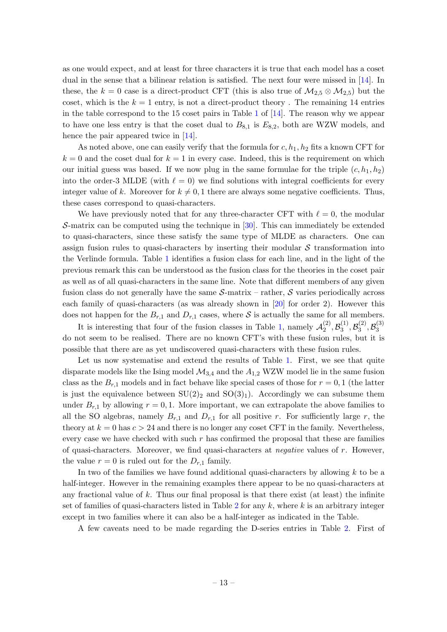as one would expect, and at least for three characters it is true that each model has a coset dual in the sense that a bilinear relation is satisfied. The next four were missed in [\[14](#page-28-0)]. In these, the k = 0 case is a direct-product CFT (this is also true of  $\mathcal{M}_{2,5} \otimes \mathcal{M}_{2,5}$ ) but the coset, which is the  $k = 1$  entry, is not a direct-product theory. The remaining 14 entries in the table correspond to the [1](#page-12-0)5 coset pairs in Table 1 of  $[14]$ . The reason why we appear to have one less entry is that the coset dual to  $B_{8,1}$  is  $E_{8,2}$ , both are WZW models, and hence the pair appeared twice in [\[14\]](#page-28-0).

As noted above, one can easily verify that the formula for  $c, h_1, h_2$  fits a known CFT for  $k = 0$  and the coset dual for  $k = 1$  in every case. Indeed, this is the requirement on which our initial guess was based. If we now plug in the same formulae for the triple  $(c, h_1, h_2)$ into the order-3 MLDE (with  $\ell = 0$ ) we find solutions with integral coefficients for every integer value of k. Moreover for  $k \neq 0, 1$  there are always some negative coefficients. Thus, these cases correspond to quasi-characters.

We have previously noted that for any three-character CFT with  $\ell = 0$ , the modular S-matrix can be computed using the technique in [\[30](#page-29-7)]. This can immediately be extended to quasi-characters, since these satisfy the same type of MLDE as characters. One can assign fusion rules to quasi-characters by inserting their modular  $\mathcal S$  transformation into the Verlinde formula. Table [1](#page-12-0) identifies a fusion class for each line, and in the light of the previous remark this can be understood as the fusion class for the theories in the coset pair as well as of all quasi-characters in the same line. Note that different members of any given fusion class do not generally have the same  $S$ -matrix – rather, S varies periodically across each family of quasi-characters (as was already shown in [\[20](#page-29-10)] for order 2). However this does not happen for the  $B_{r,1}$  and  $D_{r,1}$  cases, where S is actually the same for all members.

It is interesting that four of the fusion classes in Table [1,](#page-12-0) namely  $\mathcal{A}_{2}^{(2)}$  $\mathcal{B}_2^{(2)}, \mathcal{B}_3^{(1)}$  $\mathcal{B}_3^{(1)}, \mathcal{B}_3^{(2)}$  $\mathcal{B}_3^{(2)}, \mathcal{B}_3^{(3)}$ 3 do not seem to be realised. There are no known CFT's with these fusion rules, but it is possible that there are as yet undiscovered quasi-characters with these fusion rules.

Let us now systematise and extend the results of Table [1.](#page-12-0) First, we see that quite disparate models like the Ising model  $\mathcal{M}_{3,4}$  and the  $A_{1,2}$  WZW model lie in the same fusion class as the  $B_{r,1}$  models and in fact behave like special cases of those for  $r = 0,1$  (the latter is just the equivalence between  $SU(2)_2$  and  $SO(3)_1$ ). Accordingly we can subsume them under  $B_{r,1}$  by allowing  $r = 0,1$ . More important, we can extrapolate the above families to all the SO algebras, namely  $B_{r,1}$  and  $D_{r,1}$  for all positive r. For sufficiently large r, the theory at  $k = 0$  has  $c > 24$  and there is no longer any coset CFT in the family. Nevertheless, every case we have checked with such  $r$  has confirmed the proposal that these are families of quasi-characters. Moreover, we find quasi-characters at *negative* values of  $r$ . However, the value  $r = 0$  is ruled out for the  $D_{r,1}$  family.

In two of the families we have found additional quasi-characters by allowing  $k$  to be a half-integer. However in the remaining examples there appear to be no quasi-characters at any fractional value of k. Thus our final proposal is that there exist (at least) the infinite set of families of quasi-characters listed in Table [2](#page-14-0) for any  $k$ , where  $k$  is an arbitrary integer except in two families where it can also be a half-integer as indicated in the Table.

A few caveats need to be made regarding the D-series entries in Table [2.](#page-14-0) First of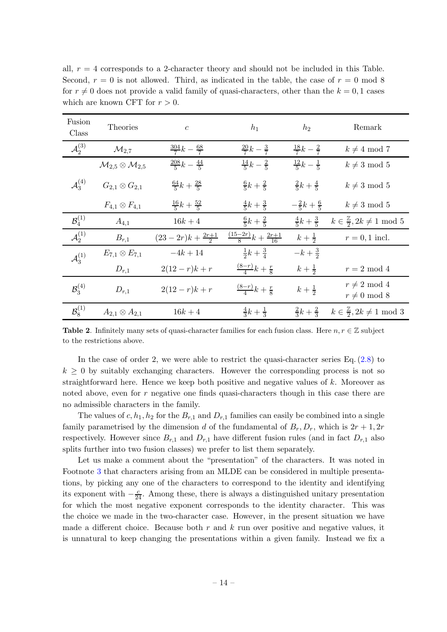all,  $r = 4$  corresponds to a 2-character theory and should not be included in this Table. Second,  $r = 0$  is not allowed. Third, as indicated in the table, the case of  $r = 0$  mod 8 for  $r \neq 0$  does not provide a valid family of quasi-characters, other than the  $k = 0, 1$  cases which are known CFT for  $r > 0$ .

| Fusion<br>Class         | Theories                                      | $\mathfrak{c}$                 | $h_1$                                  | $h_2$                       | Remark                                            |
|-------------------------|-----------------------------------------------|--------------------------------|----------------------------------------|-----------------------------|---------------------------------------------------|
| $\mathcal{A}_{2}^{(3)}$ | $\mathcal{M}_{2.7}$                           | $rac{304}{7}k-\frac{68}{7}$    | $rac{20}{7}k-\frac{3}{7}$              | $rac{18}{7}k-\frac{2}{7}$   | $k \neq 4 \mod 7$                                 |
|                         | $\mathcal{M}_{2,5} \otimes \mathcal{M}_{2,5}$ | $rac{208}{5}k-\frac{44}{5}$    | $\frac{14}{5}k-\frac{2}{5}$            | $\frac{12}{5}k-\frac{1}{5}$ | $k \neq 3 \mod 5$                                 |
| ${\cal A}^{(4)}_{3}$    | $G_{2,1} \otimes G_{2,1}$                     | $\frac{64}{5}k + \frac{28}{5}$ | $\frac{6}{5}k + \frac{2}{5}$           | $rac{2}{5}k+\frac{4}{5}$    | $k \neq 3 \mod 5$                                 |
|                         | $F_{4,1}\otimes F_{4,1}$                      | $\frac{16}{5}k + \frac{52}{5}$ | $rac{4}{5}k + \frac{3}{5}$             | $-\frac{2}{5}k+\frac{6}{5}$ | $k \neq 3 \mod 5$                                 |
| $\mathcal{B}_4^{(1)}$   | $A_{4,1}$                                     | $16k + 4$                      | $\frac{6}{5}k + \frac{2}{5}$           | $rac{4}{5}k + \frac{3}{5}$  | $k \in \frac{\mathbb{Z}}{2}$ , $2k \neq 1 \mod 5$ |
| $\mathcal{A}^{(1)}_2$   | $B_{r,1}$                                     | $(23-2r)k+\frac{2r+1}{2}$      | $\frac{(15-2r)}{8}k + \frac{2r+1}{16}$ | $k + \frac{1}{2}$           | $r=0,1$ incl.                                     |
| ${\cal A}^{(1)}_{3}$    | $E_{7,1} \otimes E_{7,1}$                     | $-4k + 14$                     | $rac{1}{2}k + \frac{3}{4}$             | $-k+\frac{3}{2}$            |                                                   |
|                         | $D_{r,1}$                                     | $2(12 - r)k + r$               | $\frac{(8-r)}{4}k + \frac{r}{8}$       | $k + \frac{1}{2}$           | $r = 2 \mod 4$                                    |
| $\mathcal{B}^{(4)}_{3}$ | $D_{r,1}$                                     | $2(12 - r)k + r$               | $\frac{(8-r)}{4}k + \frac{r}{8}$       | $k + \frac{1}{2}$           | $r \neq 2 \mod 4$<br>$r \neq 0 \mod 8$            |
| $\mathcal{B}^{(1)}_{8}$ | $A_{2,1} \otimes A_{2,1}$                     | $16k + 4$                      | $rac{4}{3}k + \frac{1}{3}$             | $rac{2}{3}k + \frac{2}{3}$  | $k \in \frac{\mathbb{Z}}{2}, 2k \neq 1 \mod 3$    |

<span id="page-14-0"></span>**Table 2.** Infinitely many sets of quasi-character families for each fusion class. Here  $n, r \in \mathbb{Z}$  subject to the restrictions above.

In the case of order 2, we were able to restrict the quasi-character series Eq.  $(2.8)$  to  $k \geq 0$  by suitably exchanging characters. However the corresponding process is not so straightforward here. Hence we keep both positive and negative values of  $k$ . Moreover as noted above, even for r negative one finds quasi-characters though in this case there are no admissible characters in the family.

The values of  $c, h_1, h_2$  for the  $B_{r,1}$  and  $D_{r,1}$  families can easily be combined into a single family parametrised by the dimension d of the fundamental of  $B_r$ ,  $D_r$ , which is  $2r + 1$ ,  $2r$ respectively. However since  $B_{r,1}$  and  $D_{r,1}$  have different fusion rules (and in fact  $D_{r,1}$  also splits further into two fusion classes) we prefer to list them separately.

Let us make a comment about the "presentation" of the characters. It was noted in Footnote [3](#page-6-1) that characters arising from an MLDE can be considered in multiple presentations, by picking any one of the characters to correspond to the identity and identifying its exponent with  $-\frac{c}{24}$ . Among these, there is always a distinguished unitary presentation for which the most negative exponent corresponds to the identity character. This was the choice we made in the two-character case. However, in the present situation we have made a different choice. Because both  $r$  and  $k$  run over positive and negative values, it is unnatural to keep changing the presentations within a given family. Instead we fix a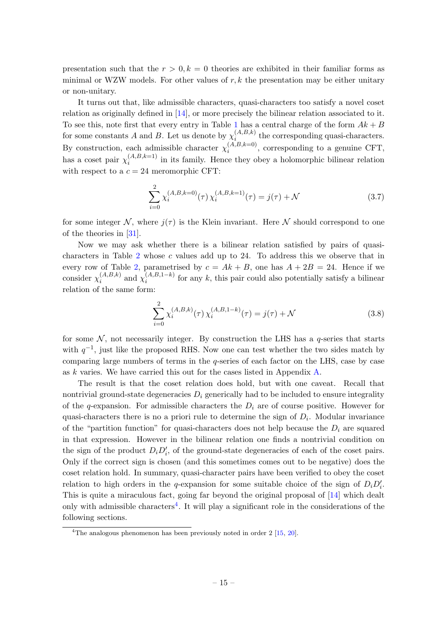presentation such that the  $r > 0, k = 0$  theories are exhibited in their familiar forms as minimal or WZW models. For other values of  $r, k$  the presentation may be either unitary or non-unitary.

It turns out that, like admissible characters, quasi-characters too satisfy a novel coset relation as originally defined in [\[14\]](#page-28-0), or more precisely the bilinear relation associated to it. To see this, note first that every entry in Table [1](#page-12-0) has a central charge of the form  $Ak + B$ for some constants A and B. Let us denote by  $\chi_i^{(A,B,k)}$  $\sum_{i=1}^{(A,D,\kappa)}$  the corresponding quasi-characters. By construction, each admissible character  $\chi_i^{(A,B,k=0)}$  $\sum_{i=1}^{(A,B,\kappa=0)}$ , corresponding to a genuine CFT, has a coset pair  $\chi_i^{(A,B,k=1)}$  $i_i^{(A, B, \kappa=1)}$  in its family. Hence they obey a holomorphic bilinear relation with respect to a  $c = 24$  meromorphic CFT:

$$
\sum_{i=0}^{2} \chi_{i}^{(A,B,k=0)}(\tau) \chi_{i}^{(A,B,k=1)}(\tau) = j(\tau) + \mathcal{N}
$$
\n(3.7)

for some integer N, where  $j(\tau)$  is the Klein invariant. Here N should correspond to one of the theories in [\[31\]](#page-29-12).

Now we may ask whether there is a bilinear relation satisfied by pairs of quasicharacters in Table [2](#page-14-0) whose c values add up to 24. To address this we observe that in every row of Table [2,](#page-14-0) parametrised by  $c = Ak + B$ , one has  $A + 2B = 24$ . Hence if we consider  $\chi_i^{(A,B,k)}$  $\chi_i^{(A,B,k)}$  and  $\chi_i^{(A,B,1-k)}$  for any k, this pair could also potentially satisfy a bilinear relation of the same form:

$$
\sum_{i=0}^{2} \chi_i^{(A,B,k)}(\tau) \chi_i^{(A,B,1-k)}(\tau) = j(\tau) + \mathcal{N}
$$
\n(3.8)

for some  $\mathcal{N}$ , not necessarily integer. By construction the LHS has a q-series that starts with  $q^{-1}$ , just like the proposed RHS. Now one can test whether the two sides match by comparing large numbers of terms in the  $q$ -series of each factor on the LHS, case by case as k varies. We have carried this out for the cases listed in Appendix [A.](#page-26-0)

The result is that the coset relation does hold, but with one caveat. Recall that nontrivial ground-state degeneracies  $D_i$  generically had to be included to ensure integrality of the q-expansion. For admissible characters the  $D_i$  are of course positive. However for quasi-characters there is no a priori rule to determine the sign of  $D_i$ . Modular invariance of the "partition function" for quasi-characters does not help because the  $D_i$  are squared in that expression. However in the bilinear relation one finds a nontrivial condition on the sign of the product  $D_i D'_i$ , of the ground-state degeneracies of each of the coset pairs. Only if the correct sign is chosen (and this sometimes comes out to be negative) does the coset relation hold. In summary, quasi-character pairs have been verified to obey the coset relation to high orders in the q-expansion for some suitable choice of the sign of  $D_i D'_i$ . This is quite a miraculous fact, going far beyond the original proposal of [\[14](#page-28-0)] which dealt only with admissible characters<sup>[4](#page-15-0)</sup>. It will play a significant role in the considerations of the following sections.

<span id="page-15-0"></span><sup>&</sup>lt;sup>4</sup>The analogous phenomenon has been previously noted in order  $2 \lfloor 15, 20 \rfloor$  $2 \lfloor 15, 20 \rfloor$  $2 \lfloor 15, 20 \rfloor$ .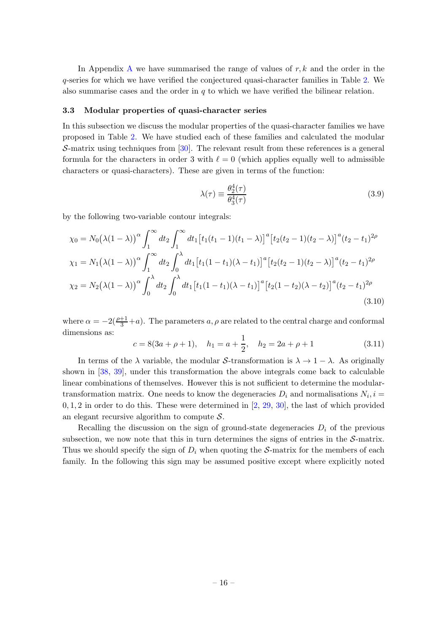In [A](#page-26-0)ppendix A we have summarised the range of values of  $r, k$  and the order in the q-series for which we have verified the conjectured quasi-character families in Table [2.](#page-14-0) We also summarise cases and the order in  $q$  to which we have verified the bilinear relation.

#### <span id="page-16-0"></span>3.3 Modular properties of quasi-character series

In this subsection we discuss the modular properties of the quasi-character families we have proposed in Table [2.](#page-14-0) We have studied each of these families and calculated the modular S-matrix using techniques from  $[30]$ . The relevant result from these references is a general formula for the characters in order 3 with  $\ell = 0$  (which applies equally well to admissible characters or quasi-characters). These are given in terms of the function:

$$
\lambda(\tau) \equiv \frac{\theta_2^4(\tau)}{\theta_3^4(\tau)}\tag{3.9}
$$

by the following two-variable contour integrals:

$$
\chi_0 = N_0(\lambda(1-\lambda))^{\alpha} \int_1^{\infty} dt_2 \int_1^{\infty} dt_1 \left[ t_1(t_1-1)(t_1-\lambda) \right]^a \left[ t_2(t_2-1)(t_2-\lambda) \right]^a (t_2-t_1)^{2\rho}
$$
  
\n
$$
\chi_1 = N_1(\lambda(1-\lambda))^{\alpha} \int_1^{\infty} dt_2 \int_0^{\lambda} dt_1 \left[ t_1(1-t_1)(\lambda-t_1) \right]^a \left[ t_2(t_2-1)(t_2-\lambda) \right]^a (t_2-t_1)^{2\rho}
$$
  
\n
$$
\chi_2 = N_2(\lambda(1-\lambda))^{\alpha} \int_0^{\lambda} dt_2 \int_0^{\lambda} dt_1 \left[ t_1(1-t_1)(\lambda-t_1) \right]^a \left[ t_2(1-t_2)(\lambda-t_2) \right]^a (t_2-t_1)^{2\rho}
$$
  
\n(3.10)

where  $\alpha = -2(\frac{\rho+1}{3} + a)$ . The parameters  $a, \rho$  are related to the central charge and conformal dimensions as:

$$
c = 8(3a + \rho + 1),
$$
  $h_1 = a + \frac{1}{2},$   $h_2 = 2a + \rho + 1$  (3.11)

In terms of the  $\lambda$  variable, the modular S-transformation is  $\lambda \to 1 - \lambda$ . As originally shown in [\[38](#page-30-2), [39](#page-30-3)], under this transformation the above integrals come back to calculable linear combinations of themselves. However this is not sufficient to determine the modulartransformation matrix. One needs to know the degeneracies  $D_i$  and normalisations  $N_i$ ,  $i =$  $0, 1, 2$  in order to do this. These were determined in  $[2, 29, 30]$  $[2, 29, 30]$  $[2, 29, 30]$  $[2, 29, 30]$  $[2, 29, 30]$ , the last of which provided an elegant recursive algorithm to compute  $S$ .

Recalling the discussion on the sign of ground-state degeneracies  $D_i$  of the previous subsection, we now note that this in turn determines the signs of entries in the  $S$ -matrix. Thus we should specify the sign of  $D_i$  when quoting the S-matrix for the members of each family. In the following this sign may be assumed positive except where explicitly noted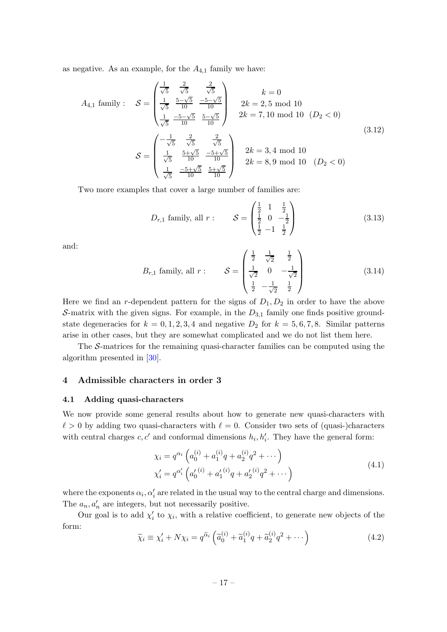as negative. As an example, for the  $A_{4,1}$  family we have:

<span id="page-17-2"></span>
$$
A_{4,1} \text{ family}: \quad \mathcal{S} = \begin{pmatrix} \frac{1}{\sqrt{5}} & \frac{2}{\sqrt{5}} & \frac{2}{\sqrt{5}} \\ \frac{1}{\sqrt{5}} & \frac{5-\sqrt{5}}{10} & \frac{-5-\sqrt{5}}{10} \\ \frac{1}{\sqrt{5}} & \frac{-5-\sqrt{5}}{10} & \frac{5-\sqrt{5}}{10} \end{pmatrix} \quad 2k = 2, 5 \text{ mod } 10
$$
\n
$$
2k = 7, 10 \text{ mod } 10 \quad (D_2 < 0)
$$
\n
$$
\mathcal{S} = \begin{pmatrix} -\frac{1}{\sqrt{5}} & \frac{2}{\sqrt{5}} & \frac{2}{\sqrt{5}} \\ \frac{1}{\sqrt{5}} & \frac{5+\sqrt{5}}{10} & \frac{-5+\sqrt{5}}{10} \\ \frac{1}{\sqrt{5}} & \frac{-5+\sqrt{5}}{10} & \frac{5+\sqrt{5}}{10} \end{pmatrix} \quad 2k = 3, 4 \text{ mod } 10
$$
\n
$$
2k = 8, 9 \text{ mod } 10 \quad (D_2 < 0)
$$
\n
$$
(3.12)
$$

Two more examples that cover a large number of families are:

$$
D_{r,1}
$$
 family, all  $r: \qquad \mathcal{S} = \begin{pmatrix} \frac{1}{2} & 1 & \frac{1}{2} \\ \frac{1}{2} & 0 & -\frac{1}{2} \\ \frac{1}{2} & -1 & \frac{1}{2} \end{pmatrix}$  (3.13)

and:

$$
B_{r,1} \text{ family, all } r: \qquad \mathcal{S} = \begin{pmatrix} \frac{1}{2} & \frac{1}{\sqrt{2}} & \frac{1}{2} \\ \frac{1}{\sqrt{2}} & 0 & -\frac{1}{\sqrt{2}} \\ \frac{1}{2} & -\frac{1}{\sqrt{2}} & \frac{1}{2} \end{pmatrix} \tag{3.14}
$$

Here we find an r-dependent pattern for the signs of  $D_1, D_2$  in order to have the above S-matrix with the given signs. For example, in the  $D_{3,1}$  family one finds positive groundstate degeneracies for  $k = 0, 1, 2, 3, 4$  and negative  $D_2$  for  $k = 5, 6, 7, 8$ . Similar patterns arise in other cases, but they are somewhat complicated and we do not list them here.

The S-matrices for the remaining quasi-character families can be computed using the algorithm presented in [\[30](#page-29-7)].

### <span id="page-17-1"></span><span id="page-17-0"></span>4 Admissible characters in order 3

### 4.1 Adding quasi-characters

We now provide some general results about how to generate new quasi-characters with  $\ell > 0$  by adding two quasi-characters with  $\ell = 0$ . Consider two sets of (quasi-)characters with central charges  $c, c'$  and conformal dimensions  $h_i, h'_i$ . They have the general form:

$$
\chi_i = q^{\alpha_i} \left( a_0^{(i)} + a_1^{(i)} q + a_2^{(i)} q^2 + \cdots \right) \n\chi'_i = q^{\alpha'_i} \left( a'_0^{(i)} + a'_1^{(i)} q + a'_2^{(i)} q^2 + \cdots \right)
$$
\n(4.1)

where the exponents  $\alpha_i, \alpha'_i$  are related in the usual way to the central charge and dimensions. The  $a_n, a'_n$  are integers, but not necessarily positive.

Our goal is to add  $\chi'_i$  to  $\chi_i$ , with a relative coefficient, to generate new objects of the form:

$$
\widetilde{\chi}_i \equiv \chi'_i + N\chi_i = q^{\widetilde{\alpha}_i} \left( \widetilde{a}_0^{(i)} + \widetilde{a}_1^{(i)}q + \widetilde{a}_2^{(i)}q^2 + \cdots \right)
$$
\n(4.2)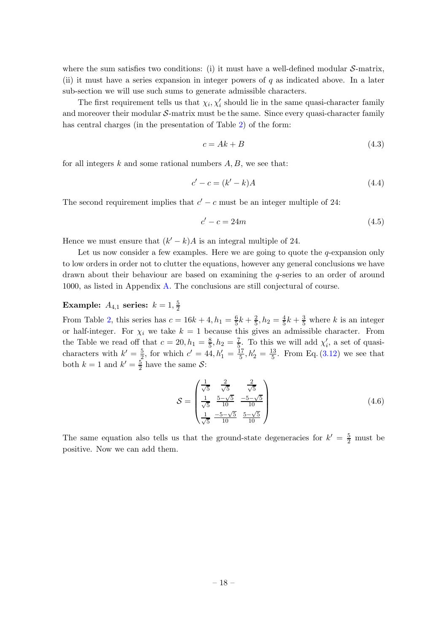where the sum satisfies two conditions: (i) it must have a well-defined modular  $\mathcal{S}\text{-matrix}$ , (ii) it must have a series expansion in integer powers of  $q$  as indicated above. In a later sub-section we will use such sums to generate admissible characters.

The first requirement tells us that  $\chi_i, \chi'_i$  should lie in the same quasi-character family and moreover their modular  $S$ -matrix must be the same. Since every quasi-character family has central charges (in the presentation of Table [2\)](#page-14-0) of the form:

$$
c = Ak + B \tag{4.3}
$$

for all integers  $k$  and some rational numbers  $A, B$ , we see that:

$$
c' - c = (k' - k)A\tag{4.4}
$$

The second requirement implies that  $c' - c$  must be an integer multiple of 24:

<span id="page-18-0"></span>
$$
c' - c = 24m \tag{4.5}
$$

Hence we must ensure that  $(k'-k)A$  is an integral multiple of 24.

Let us now consider a few examples. Here we are going to quote the  $q$ -expansion only to low orders in order not to clutter the equations, however any general conclusions we have drawn about their behaviour are based on examining the q-series to an order of around 1000, as listed in Appendix [A.](#page-26-0) The conclusions are still conjectural of course.

#### Example:  $A_{4,1}$  series:  $k=1,\frac{5}{2}$ 2

From Table [2,](#page-14-0) this series has  $c = 16k + 4$ ,  $h_1 = \frac{6}{5}k + \frac{2}{5}$ ,  $h_2 = \frac{4}{5}k + \frac{3}{5}$  where k is an integer or half-integer. For  $\chi_i$  we take  $k = 1$  because this gives an admissible character. From the Table we read off that  $c = 20, h_1 = \frac{8}{5}$  $\frac{8}{5}$ ,  $h_2 = \frac{7}{5}$  $\frac{7}{5}$ . To this we will add  $\chi'_{i}$ , a set of quasicharacters with  $k' = \frac{5}{2}$  $\frac{5}{2}$ , for which  $c' = 44, h'_1 = \frac{17}{5}$  $\frac{17}{5}$ ,  $h'_2 = \frac{13}{5}$  $\frac{13}{5}$ . From Eq. [\(3.12\)](#page-17-2) we see that both  $k=1$  and  $k'=\frac{5}{2}$  $\frac{5}{2}$  have the same S:

$$
S = \begin{pmatrix} \frac{1}{\sqrt{5}} & \frac{2}{\sqrt{5}} & \frac{2}{\sqrt{5}}\\ \frac{1}{\sqrt{5}} & \frac{5-\sqrt{5}}{10} & \frac{-5-\sqrt{5}}{10} \\ \frac{1}{\sqrt{5}} & \frac{-5-\sqrt{5}}{10} & \frac{5-\sqrt{5}}{10} \end{pmatrix}
$$
(4.6)

The same equation also tells us that the ground-state degeneracies for  $k' = \frac{5}{2}$  must be positive. Now we can add them.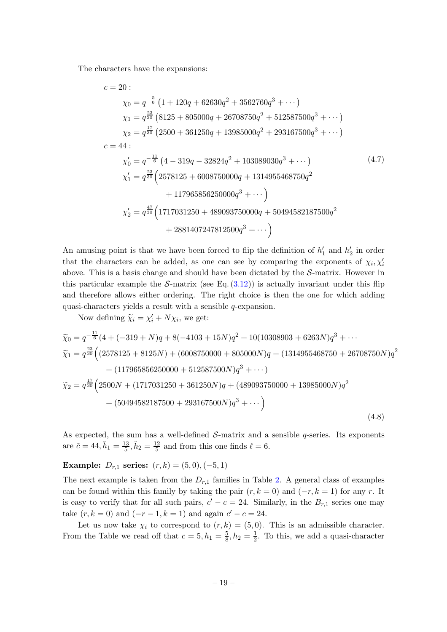The characters have the expansions:

$$
c = 20:
$$
\n
$$
\chi_0 = q^{-\frac{5}{6}} \left( 1 + 120q + 62630q^2 + 3562760q^3 + \cdots \right)
$$
\n
$$
\chi_1 = q^{\frac{23}{30}} \left( 8125 + 805000q + 26708750q^2 + 512587500q^3 + \cdots \right)
$$
\n
$$
\chi_2 = q^{\frac{17}{30}} \left( 2500 + 361250q + 13985000q^2 + 293167500q^3 + \cdots \right)
$$
\n
$$
c = 44:
$$
\n
$$
\chi'_0 = q^{-\frac{11}{6}} \left( 4 - 319q - 32824q^2 + 103089030q^3 + \cdots \right)
$$
\n
$$
\chi'_1 = q^{\frac{23}{30}} \left( 2578125 + 6008750000q + 1314955468750q^2 + 117965856250000q^3 + \cdots \right)
$$
\n
$$
\chi'_2 = q^{\frac{47}{30}} \left( 1717031250 + 489093750000q + 50494582187500q^2 + 2881407247812500q^3 + \cdots \right)
$$
\n(A.7)

An amusing point is that we have been forced to flip the definition of  $h'_1$  and  $h'_2$  in order that the characters can be added, as one can see by comparing the exponents of  $\chi_i, \chi'_i$ above. This is a basis change and should have been dictated by the  $S$ -matrix. However in this particular example the S-matrix (see Eq.  $(3.12)$ ) is actually invariant under this flip and therefore allows either ordering. The right choice is then the one for which adding quasi-characters yields a result with a sensible  $q$ -expansion.

Now defining  $\widetilde{\chi}_i = \chi'_i + N\chi_i$ , we get:

<span id="page-19-0"></span>
$$
\tilde{\chi}_0 = q^{-\frac{11}{6}}(4 + (-319 + N)q + 8(-4103 + 15N)q^2 + 10(10308903 + 6263N)q^3 + \cdots
$$
\n
$$
\tilde{\chi}_1 = q^{\frac{23}{30}}\Big((2578125 + 8125N) + (6008750000 + 805000N)q + (1314955468750 + 26708750N)q^2 + (117965856250000 + 512587500N)q^3 + \cdots\Big)
$$
\n
$$
\tilde{\chi}_2 = q^{\frac{17}{30}}\Big(2500N + (1717031250 + 361250N)q + (489093750000 + 13985000N)q^2 + (50494582187500 + 293167500N)q^3 + \cdots\Big)
$$
\n(4.8)

As expected, the sum has a well-defined  $S$ -matrix and a sensible  $q$ -series. Its exponents are  $\tilde{c} = 44, \tilde{h}_1 = \frac{13}{5}$  $\frac{13}{5}, \tilde{h}_2 = \frac{12}{5}$  $\frac{12}{5}$  and from this one finds  $\ell = 6$ .

## Example:  $D_{r,1}$  series:  $(r, k) = (5, 0), (-5, 1)$

The next example is taken from the  $D_{r,1}$  families in Table [2.](#page-14-0) A general class of examples can be found within this family by taking the pair  $(r, k = 0)$  and  $(-r, k = 1)$  for any r. It is easy to verify that for all such pairs,  $c' - c = 24$ . Similarly, in the  $B_{r,1}$  series one may take  $(r, k = 0)$  and  $(-r - 1, k = 1)$  and again  $c' - c = 24$ .

Let us now take  $\chi_i$  to correspond to  $(r, k) = (5, 0)$ . This is an admissible character. From the Table we read off that  $c=5, h_1=\frac{5}{8}$  $\frac{5}{8}$ ,  $h_2 = \frac{1}{2}$  $\frac{1}{2}$ . To this, we add a quasi-character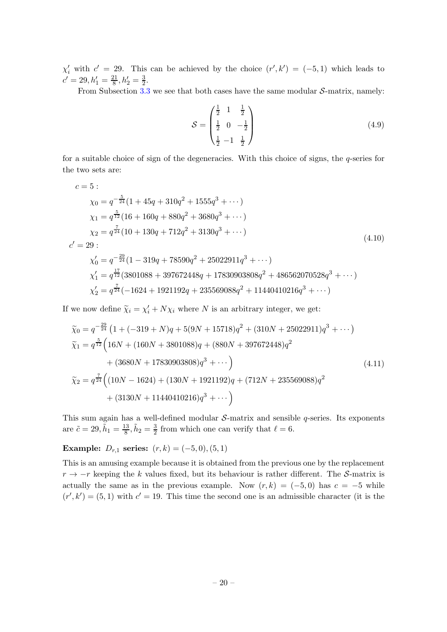$\chi'_{i}$  with  $c' = 29$ . This can be achieved by the choice  $(r', k') = (-5, 1)$  which leads to  $c' = 29, h'_1 = \frac{21}{8}$  $\frac{21}{8}$ ,  $h'_2 = \frac{3}{2}$  $\frac{3}{2}$ .

From Subsection [3.3](#page-16-0) we see that both cases have the same modular  $S$ -matrix, namely:

$$
S = \begin{pmatrix} \frac{1}{2} & 1 & \frac{1}{2} \\ \frac{1}{2} & 0 & -\frac{1}{2} \\ \frac{1}{2} & -1 & \frac{1}{2} \end{pmatrix}
$$
 (4.9)

for a suitable choice of sign of the degeneracies. With this choice of signs, the q-series for the two sets are:

$$
c = 5:
$$
  
\n
$$
\chi_0 = q^{-\frac{5}{24}} (1 + 45q + 310q^2 + 1555q^3 + \cdots)
$$
  
\n
$$
\chi_1 = q^{\frac{5}{12}} (16 + 160q + 880q^2 + 3680q^3 + \cdots)
$$
  
\n
$$
\chi_2 = q^{\frac{7}{24}} (10 + 130q + 712q^2 + 3130q^3 + \cdots)
$$
  
\n
$$
c' = 29:
$$
  
\n
$$
\chi'_0 = q^{-\frac{29}{24}} (1 - 319q + 78590q^2 + 25022911q^3 + \cdots)
$$
  
\n
$$
\chi'_1 = q^{\frac{17}{12}} (3801088 + 397672448q + 17830903808q^2 + 486562070528q^3 + \cdots)
$$
  
\n
$$
\chi'_2 = q^{\frac{7}{24}} (-1624 + 1921192q + 235569088q^2 + 11440410216q^3 + \cdots)
$$
 (4.10)

If we now define  $\tilde{\chi}_i = \chi'_i + N\chi_i$  where N is an arbitrary integer, we get:

<span id="page-20-0"></span>
$$
\widetilde{\chi}_0 = q^{-\frac{29}{24}} \left( 1 + (-319 + N)q + 5(9N + 15718)q^2 + (310N + 25022911)q^3 + \cdots \right)
$$
  
\n
$$
\widetilde{\chi}_1 = q^{\frac{5}{12}} \left( 16N + (160N + 3801088)q + (880N + 397672448)q^2 + (3680N + 17830903808)q^3 + \cdots \right)
$$
  
\n
$$
\widetilde{\chi}_2 = q^{\frac{7}{24}} \left( (10N - 1624) + (130N + 1921192)q + (712N + 235569088)q^2 + (3130N + 11440410216)q^3 + \cdots \right)
$$
\n(4.11)

This sum again has a well-defined modular  $S$ -matrix and sensible  $q$ -series. Its exponents are  $\tilde{c} = 29, \tilde{h}_1 = \frac{13}{8}$  $\frac{13}{8}, \tilde{h}_2 = \frac{3}{2}$  $\frac{3}{2}$  from which one can verify that  $\ell = 6$ .

# Example:  $D_{r,1}$  series:  $(r, k) = (-5, 0), (5, 1)$

This is an amusing example because it is obtained from the previous one by the replacement  $r \rightarrow -r$  keeping the k values fixed, but its behaviour is rather different. The S-matrix is actually the same as in the previous example. Now  $(r, k) = (-5, 0)$  has  $c = -5$  while  $(r',k') = (5,1)$  with  $c' = 19$ . This time the second one is an admissible character (it is the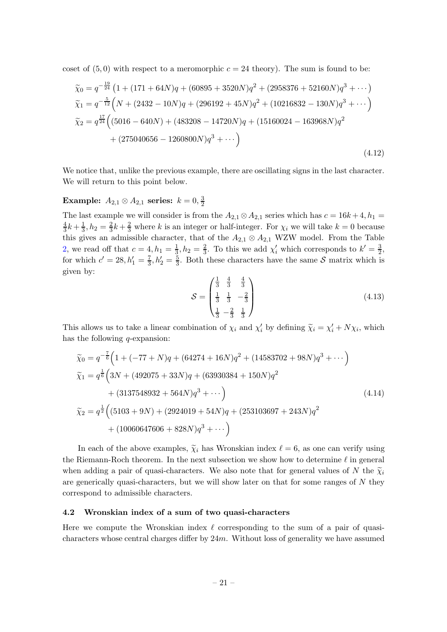coset of  $(5,0)$  with respect to a meromorphic  $c = 24$  theory). The sum is found to be:

<span id="page-21-2"></span>
$$
\tilde{\chi}_0 = q^{-\frac{19}{24}} \left( 1 + (171 + 64N)q + (60895 + 3520N)q^2 + (2958376 + 52160N)q^3 + \cdots \right)
$$
  
\n
$$
\tilde{\chi}_1 = q^{-\frac{5}{12}} \left( N + (2432 - 10N)q + (296192 + 45N)q^2 + (10216832 - 130N)q^3 + \cdots \right)
$$
  
\n
$$
\tilde{\chi}_2 = q^{\frac{17}{24}} \left( (5016 - 640N) + (483208 - 14720N)q + (15160024 - 163968N)q^2 + (275040656 - 1260800N)q^3 + \cdots \right)
$$
\n(4.12)

We notice that, unlike the previous example, there are oscillating signs in the last character. We will return to this point below.

#### Example:  $A_{2,1} \otimes A_{2,1}$  series:  $k = 0, \frac{3}{2}$ 2

The last example we will consider is from the  $A_{2,1} \otimes A_{2,1}$  series which has  $c = 16k + 4$ ,  $h_1 =$ 4  $\frac{4}{3}k + \frac{1}{3}$  $\frac{1}{3}$ ,  $h_2 = \frac{2}{3}$  $\frac{2}{3}k + \frac{2}{3}$  where k is an integer or half-integer. For  $\chi_i$  we will take  $k = 0$  because this gives an admissible character, that of the  $A_{2,1} \otimes A_{2,1}$  WZW model. From the Table [2,](#page-14-0) we read off that  $c = 4, h_1 = \frac{1}{3}, h_2 = \frac{2}{3}$ . To this we add  $\chi'_i$  which corresponds to  $k' = \frac{3}{2}$ , for which  $c' = 28, h'_1 = \frac{7}{3}$  $\frac{7}{3}$ ,  $h'_2 = \frac{5}{3}$  $\frac{5}{3}$ . Both these characters have the same S matrix which is given by:

$$
S = \begin{pmatrix} \frac{1}{3} & \frac{4}{3} & \frac{4}{3} \\ \frac{1}{3} & \frac{1}{3} & -\frac{2}{3} \\ \frac{1}{3} & -\frac{2}{3} & \frac{1}{3} \end{pmatrix}
$$
(4.13)

This allows us to take a linear combination of  $\chi_i$  and  $\chi'_i$  by defining  $\tilde{\chi}_i = \chi'_i + N\chi_i$ , which has the following *q*-expansion:

<span id="page-21-1"></span>
$$
\tilde{\chi}_0 = q^{-\frac{7}{6}} \Big( 1 + (-77 + N)q + (64274 + 16N)q^2 + (14583702 + 98N)q^3 + \cdots \Big)
$$
  
\n
$$
\tilde{\chi}_1 = q^{\frac{1}{6}} \Big( 3N + (492075 + 33N)q + (63930384 + 150N)q^2
$$
  
\n
$$
+ (3137548932 + 564N)q^3 + \cdots \Big)
$$
  
\n
$$
\tilde{\chi}_2 = q^{\frac{1}{2}} \Big( (5103 + 9N) + (2924019 + 54N)q + (253103697 + 243N)q^2
$$
  
\n
$$
+ (10060647606 + 828N)q^3 + \cdots \Big)
$$
\n(4.14)

In each of the above examples,  $\tilde{\chi}_i$  has Wronskian index  $\ell = 6$ , as one can verify using the Riemann-Roch theorem. In the next subsection we show how to determine  $\ell$  in general when adding a pair of quasi-characters. We also note that for general values of N the  $\tilde{\chi}_i$ are generically quasi-characters, but we will show later on that for some ranges of  $N$  they correspond to admissible characters.

### <span id="page-21-0"></span>4.2 Wronskian index of a sum of two quasi-characters

Here we compute the Wronskian index  $\ell$  corresponding to the sum of a pair of quasicharacters whose central charges differ by  $24m$ . Without loss of generality we have assumed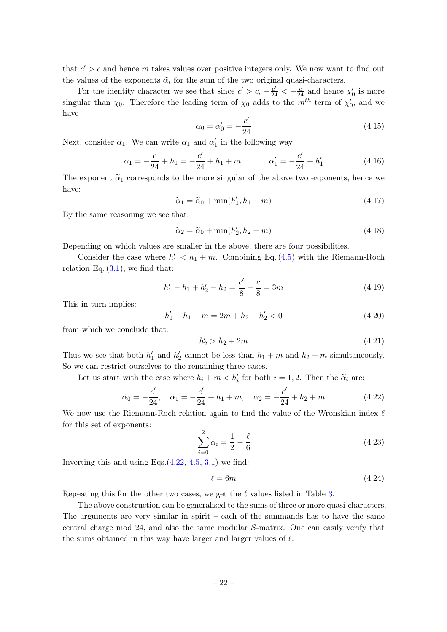that  $c' > c$  and hence m takes values over positive integers only. We now want to find out the values of the exponents  $\tilde{\alpha}_i$  for the sum of the two original quasi-characters.

For the identity character we see that since  $c' > c$ ,  $-\frac{c'}{24} < -\frac{c}{24}$  and hence  $\chi'_0$  is more singular than  $\chi_0$ . Therefore the leading term of  $\chi_0$  adds to the  $m^{th}$  term of  $\chi'_0$ , and we have

$$
\widetilde{\alpha}_0 = \alpha'_0 = -\frac{c'}{24} \tag{4.15}
$$

Next, consider  $\tilde{\alpha}_1$ . We can write  $\alpha_1$  and  $\alpha'_1$  in the following way

$$
\alpha_1 = -\frac{c}{24} + h_1 = -\frac{c'}{24} + h_1 + m, \qquad \alpha'_1 = -\frac{c'}{24} + h'_1 \tag{4.16}
$$

The exponent  $\tilde{\alpha}_1$  corresponds to the more singular of the above two exponents, hence we have:

$$
\widetilde{\alpha}_1 = \widetilde{\alpha}_0 + \min(h'_1, h_1 + m) \tag{4.17}
$$

By the same reasoning we see that:

$$
\widetilde{\alpha}_2 = \widetilde{\alpha}_0 + \min(h'_2, h_2 + m) \tag{4.18}
$$

Depending on which values are smaller in the above, there are four possibilities.

Consider the case where  $h'_1 < h_1 + m$ . Combining Eq. [\(4.5\)](#page-18-0) with the Riemann-Roch relation Eq.  $(3.1)$ , we find that:

$$
h'_1 - h_1 + h'_2 - h_2 = \frac{c'}{8} - \frac{c}{8} = 3m
$$
\n(4.19)

This in turn implies:

$$
h'_1 - h_1 - m = 2m + h_2 - h'_2 < 0 \tag{4.20}
$$

from which we conclude that:

$$
h_2' > h_2 + 2m \tag{4.21}
$$

Thus we see that both  $h'_1$  and  $h'_2$  cannot be less than  $h_1 + m$  and  $h_2 + m$  simultaneously. So we can restrict ourselves to the remaining three cases.

Let us start with the case where  $h_i + m < h'_i$  for both  $i = 1, 2$ . Then the  $\tilde{\alpha}_i$  are:

<span id="page-22-0"></span>
$$
\tilde{\alpha}_0 = -\frac{c'}{24}, \quad \tilde{\alpha}_1 = -\frac{c'}{24} + h_1 + m, \quad \tilde{\alpha}_2 = -\frac{c'}{24} + h_2 + m
$$
\n(4.22)

We now use the Riemann-Roch relation again to find the value of the Wronskian index  $\ell$ for this set of exponents:

$$
\sum_{i=0}^{2} \widetilde{\alpha}_i = \frac{1}{2} - \frac{\ell}{6}
$$
\n(4.23)

Inverting this and using Eqs. $(4.22, 4.5, 3.1)$  $(4.22, 4.5, 3.1)$  $(4.22, 4.5, 3.1)$  $(4.22, 4.5, 3.1)$  $(4.22, 4.5, 3.1)$  we find:

$$
\ell = 6m \tag{4.24}
$$

Repeating this for the other two cases, we get the  $\ell$  values listed in Table [3.](#page-23-1)

The above construction can be generalised to the sums of three or more quasi-characters. The arguments are very similar in spirit  $-$  each of the summands has to have the same central charge mod 24, and also the same modular  $S$ -matrix. One can easily verify that the sums obtained in this way have larger and larger values of  $\ell$ .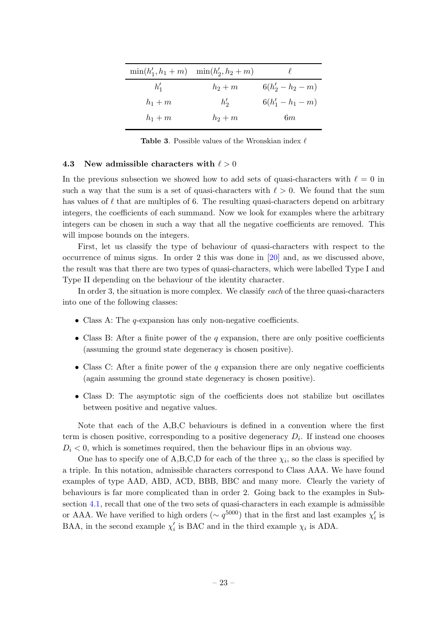|          | $\min(h'_1, h_1 + m)$ $\min(h'_2, h_2 + m)$ |                     |
|----------|---------------------------------------------|---------------------|
| $h'_{1}$ | $h_2+m$                                     | $6(h'_2 - h_2 - m)$ |
| $h_1+m$  | $h'_{2}$                                    | $6(h'_1 - h_1 - m)$ |
| $h_1+m$  | $h_2+m$                                     | 6m                  |

<span id="page-23-1"></span>**Table 3.** Possible values of the Wronskian index  $\ell$ 

#### <span id="page-23-0"></span>4.3 New admissible characters with  $\ell > 0$

In the previous subsection we showed how to add sets of quasi-characters with  $\ell = 0$  in such a way that the sum is a set of quasi-characters with  $\ell > 0$ . We found that the sum has values of  $\ell$  that are multiples of 6. The resulting quasi-characters depend on arbitrary integers, the coefficients of each summand. Now we look for examples where the arbitrary integers can be chosen in such a way that all the negative coefficients are removed. This will impose bounds on the integers.

First, let us classify the type of behaviour of quasi-characters with respect to the occurrence of minus signs. In order 2 this was done in [\[20](#page-29-10)] and, as we discussed above, the result was that there are two types of quasi-characters, which were labelled Type I and Type II depending on the behaviour of the identity character.

In order 3, the situation is more complex. We classify each of the three quasi-characters into one of the following classes:

- Class A: The *q*-expansion has only non-negative coefficients.
- Class B: After a finite power of the q expansion, there are only positive coefficients (assuming the ground state degeneracy is chosen positive).
- Class C: After a finite power of the q expansion there are only negative coefficients (again assuming the ground state degeneracy is chosen positive).
- Class D: The asymptotic sign of the coefficients does not stabilize but oscillates between positive and negative values.

Note that each of the A,B,C behaviours is defined in a convention where the first term is chosen positive, corresponding to a positive degeneracy  $D_i$ . If instead one chooses  $D_i < 0$ , which is sometimes required, then the behaviour flips in an obvious way.

One has to specify one of  $A,B,C,D$  for each of the three  $\chi_i$ , so the class is specified by a triple. In this notation, admissible characters correspond to Class AAA. We have found examples of type AAD, ABD, ACD, BBB, BBC and many more. Clearly the variety of behaviours is far more complicated than in order 2. Going back to the examples in Subsection [4.1,](#page-17-1) recall that one of the two sets of quasi-characters in each example is admissible or AAA. We have verified to high orders ( $\sim q^{5000}$ ) that in the first and last examples  $\chi'_{i}$  is BAA, in the second example  $\chi'_{i}$  is BAC and in the third example  $\chi_{i}$  is ADA.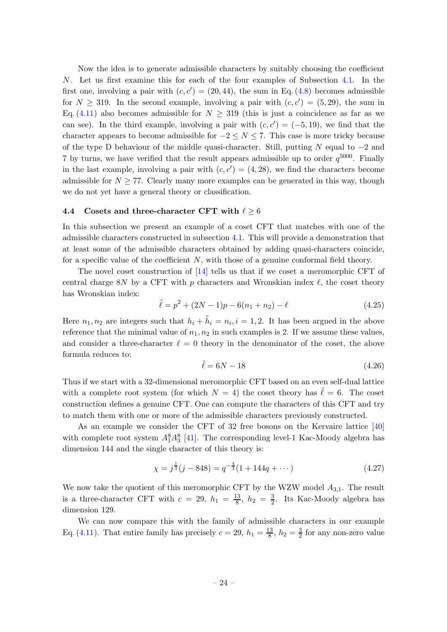Now the idea is to generate admissible characters by suitably choosing the coefficient N. Let us first examine this for each of the four examples of Subsection [4.1.](#page-17-1) In the first one, involving a pair with  $(c, c') = (20, 44)$ , the sum in Eq.  $(4.8)$  becomes admissible for  $N \geq 319$ . In the second example, involving a pair with  $(c, c') = (5, 29)$ , the sum in Eq. [\(4.11\)](#page-20-0) also becomes admissible for  $N \geq 319$  (this is just a coincidence as far as we can see). In the third example, involving a pair with  $(c, c') = (-5, 19)$ , we find that the character appears to become admissible for  $-2 \lt N \lt 7$ . This case is more tricky because of the type D behaviour of the middle quasi-character. Still, putting N equal to  $-2$  and 7 by turns, we have verified that the result appears admissible up to order  $q^{5000}$ . Finally in the last example, involving a pair with  $(c, c') = (4, 28)$ , we find the characters become admissible for  $N \geq 77$ . Clearly many more examples can be generated in this way, though we do not yet have a general theory or classification.

### <span id="page-24-0"></span>4.4 Cosets and three-character CFT with  $\ell > 6$

In this subsection we present an example of a coset CFT that matches with one of the admissible characters constructed in subsection [4.1.](#page-17-1) This will provide a demonstration that at least some of the admissible characters obtained by adding quasi-characters coincide, for a specific value of the coefficient  $N$ , with those of a genuine conformal field theory.

The novel coset construction of [\[14\]](#page-28-0) tells us that if we coset a meromorphic CFT of central charge 8N by a CFT with p characters and Wronskian index  $\ell$ , the coset theory has Wronskian index:

$$
\tilde{\ell} = p^2 + (2N - 1)p - 6(n_1 + n_2) - \ell \tag{4.25}
$$

Here  $n_1, n_2$  are integers such that  $h_i + \tilde{h}_i = n_i, i = 1, 2$ . It has been argued in the above reference that the minimal value of  $n_1, n_2$  in such examples is 2. If we assume these values, and consider a three-character  $\ell = 0$  theory in the denominator of the coset, the above formula reduces to:

$$
\tilde{\ell} = 6N - 18\tag{4.26}
$$

Thus if we start with a 32-dimensional meromorphic CFT based on an even self-dual lattice with a complete root system (for which  $N = 4$ ) the coset theory has  $\tilde{\ell} = 6$ . The coset construction defines a genuine CFT. One can compute the characters of this CFT and try to match them with one or more of the admissible characters previously constructed.

As an example we consider the CFT of 32 free bosons on the Kervaire lattice [\[40\]](#page-30-4) with complete root system  $A_1^8 A_3^8$  [\[41\]](#page-30-5). The corresponding level-1 Kac-Moody algebra has dimension 144 and the single character of this theory is:

$$
\chi = j^{\frac{1}{3}}(j - 848) = q^{-\frac{4}{3}}(1 + 144q + \cdots)
$$
\n(4.27)

We now take the quotient of this meromorphic CFT by the WZW model  $A_{3,1}$ . The result is a three-character CFT with  $c = 29$ ,  $h_1 = \frac{13}{8}$  $\frac{13}{8}$ ,  $h_2 = \frac{3}{2}$  $\frac{3}{2}$ . Its Kac-Moody algebra has dimension 129.

We can now compare this with the family of admissible characters in our example Eq. [\(4.11\)](#page-20-0). That entire family has precisely  $c = 29$ ,  $h_1 = \frac{13}{8}$  $\frac{13}{8}$ ,  $h_2 = \frac{3}{2}$  $\frac{3}{2}$  for any non-zero value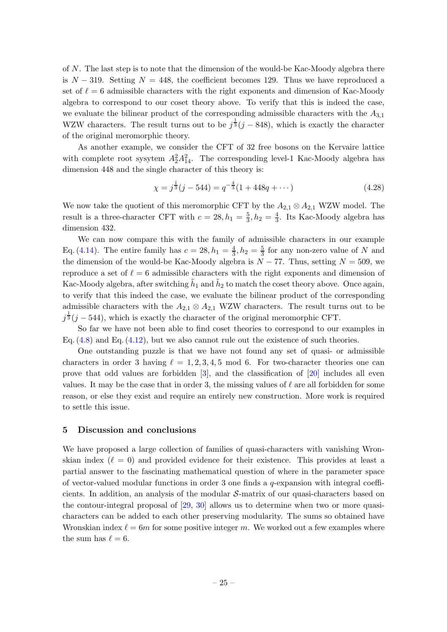of  $N$ . The last step is to note that the dimension of the would-be Kac-Moody algebra there is  $N - 319$ . Setting  $N = 448$ , the coefficient becomes 129. Thus we have reproduced a set of  $\ell = 6$  admissible characters with the right exponents and dimension of Kac-Moody algebra to correspond to our coset theory above. To verify that this is indeed the case, we evaluate the bilinear product of the corresponding admissible characters with the  $A_{3,1}$ WZW characters. The result turns out to be  $j^{\frac{1}{3}}(j-848)$ , which is exactly the character of the original meromorphic theory.

As another example, we consider the CFT of 32 free bosons on the Kervaire lattice with complete root sysytem  $A_2^2 A_{14}^2$ . The corresponding level-1 Kac-Moody algebra has dimension 448 and the single character of this theory is:

$$
\chi = j^{\frac{1}{3}}(j - 544) = q^{-\frac{4}{3}}(1 + 448q + \cdots)
$$
\n(4.28)

We now take the quotient of this meromorphic CFT by the  $A_{2,1} \otimes A_{2,1}$  WZW model. The result is a three-character CFT with  $c = 28, h_1 = \frac{5}{3}$  $\frac{5}{3}$ ,  $h_2 = \frac{4}{3}$  $\frac{4}{3}$ . Its Kac-Moody algebra has dimension 432.

We can now compare this with the family of admissible characters in our example Eq. [\(4.14\)](#page-21-1). The entire family has  $c = 28, h_1 = \frac{4}{3}$  $\frac{4}{3}$ ,  $h_2 = \frac{5}{3}$  $\frac{5}{3}$  for any non-zero value of N and the dimension of the would-be Kac-Moody algebra is  $N - 77$ . Thus, setting  $N = 509$ , we reproduce a set of  $\ell = 6$  admissible characters with the right exponents and dimension of Kac-Moody algebra, after switching  $\tilde{h}_1$  and  $\tilde{h}_2$  to match the coset theory above. Once again, to verify that this indeed the case, we evaluate the bilinear product of the corresponding admissible characters with the  $A_{2,1} \otimes A_{2,1}$  WZW characters. The result turns out to be  $j^{\frac{1}{3}}(j-544)$ , which is exactly the character of the original meromorphic CFT.

So far we have not been able to find coset theories to correspond to our examples in Eq. [\(4.8\)](#page-19-0) and Eq. [\(4.12\)](#page-21-2), but we also cannot rule out the existence of such theories.

One outstanding puzzle is that we have not found any set of quasi- or admissible characters in order 3 having  $\ell = 1, 2, 3, 4, 5 \mod 6$ . For two-character theories one can prove that odd values are forbidden [\[3\]](#page-28-2), and the classification of [\[20](#page-29-10)] includes all even values. It may be the case that in order 3, the missing values of  $\ell$  are all forbidden for some reason, or else they exist and require an entirely new construction. More work is required to settle this issue.

### <span id="page-25-0"></span>5 Discussion and conclusions

We have proposed a large collection of families of quasi-characters with vanishing Wronskian index  $(\ell = 0)$  and provided evidence for their existence. This provides at least a partial answer to the fascinating mathematical question of where in the parameter space of vector-valued modular functions in order 3 one finds a  $q$ -expansion with integral coefficients. In addition, an analysis of the modular S-matrix of our quasi-characters based on the contour-integral proposal of [\[29,](#page-29-6) [30](#page-29-7)] allows us to determine when two or more quasicharacters can be added to each other preserving modularity. The sums so obtained have Wronskian index  $\ell = 6m$  for some positive integer m. We worked out a few examples where the sum has  $\ell = 6$ .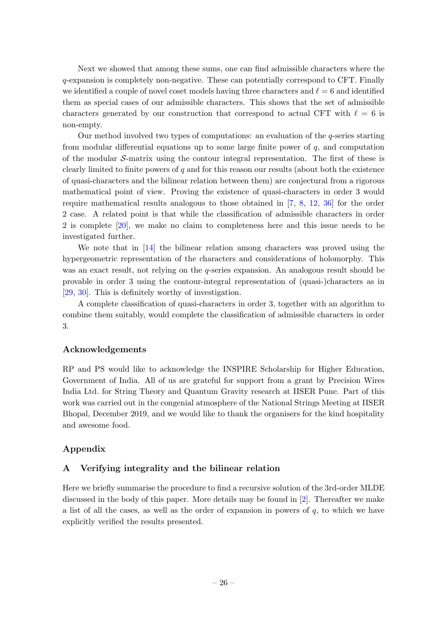Next we showed that among these sums, one can find admissible characters where the q-expansion is completely non-negative. These can potentially correspond to CFT. Finally we identified a couple of novel coset models having three characters and  $\ell = 6$  and identified them as special cases of our admissible characters. This shows that the set of admissible characters generated by our construction that correspond to actual CFT with  $\ell = 6$  is non-empty.

Our method involved two types of computations: an evaluation of the q-series starting from modular differential equations up to some large finite power of  $q$ , and computation of the modular  $S$ -matrix using the contour integral representation. The first of these is clearly limited to finite powers of  $q$  and for this reason our results (about both the existence of quasi-characters and the bilinear relation between them) are conjectural from a rigorous mathematical point of view. Proving the existence of quasi-characters in order 3 would require mathematical results analogous to those obtained in [\[7,](#page-28-3) [8](#page-28-4), [12,](#page-28-6) [36](#page-30-0)] for the order 2 case. A related point is that while the classification of admissible characters in order 2 is complete [\[20\]](#page-29-10), we make no claim to completeness here and this issue needs to be investigated further.

We note that in [\[14](#page-28-0)] the bilinear relation among characters was proved using the hypergeometric representation of the characters and considerations of holomorphy. This was an exact result, not relying on the q-series expansion. An analogous result should be provable in order 3 using the contour-integral representation of (quasi-)characters as in [\[29](#page-29-6), [30\]](#page-29-7). This is definitely worthy of investigation.

A complete classification of quasi-characters in order 3, together with an algorithm to combine them suitably, would complete the classification of admissible characters in order 3.

### Acknowledgements

RP and PS would like to acknowledge the INSPIRE Scholarship for Higher Education, Government of India. All of us are grateful for support from a grant by Precision Wires India Ltd. for String Theory and Quantum Gravity research at IISER Pune. Part of this work was carried out in the congenial atmosphere of the National Strings Meeting at IISER Bhopal, December 2019, and we would like to thank the organisers for the kind hospitality and awesome food.

### <span id="page-26-0"></span>Appendix

### A Verifying integrality and the bilinear relation

Here we briefly summarise the procedure to find a recursive solution of the 3rd-order MLDE discussed in the body of this paper. More details may be found in [\[2](#page-27-1)]. Thereafter we make a list of all the cases, as well as the order of expansion in powers of  $q$ , to which we have explicitly verified the results presented.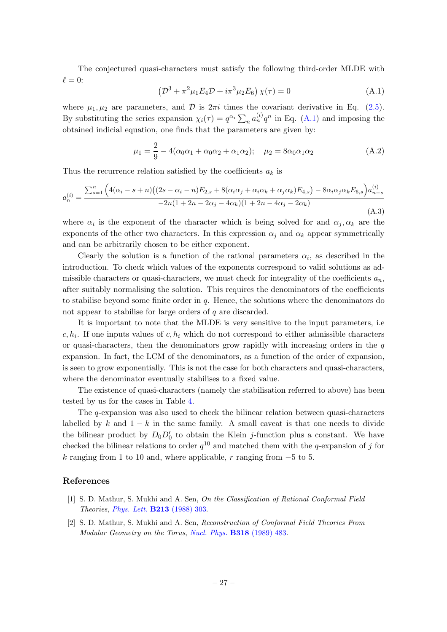The conjectured quasi-characters must satisfy the following third-order MLDE with  $\ell = 0$ :

<span id="page-27-2"></span>
$$
\left(\mathcal{D}^3 + \pi^2 \mu_1 E_4 \mathcal{D} + i \pi^3 \mu_2 E_6\right) \chi(\tau) = 0 \tag{A.1}
$$

where  $\mu_1, \mu_2$  are parameters, and  $\mathcal D$  is  $2\pi i$  times the covariant derivative in Eq. [\(2.5\)](#page-3-3). By substituting the series expansion  $\chi_i(\tau) = q^{\alpha_i} \sum_n a_n^{(i)} q^n$  in Eq. [\(A.1\)](#page-27-2) and imposing the obtained indicial equation, one finds that the parameters are given by:

$$
\mu_1 = \frac{2}{9} - 4(\alpha_0 \alpha_1 + \alpha_0 \alpha_2 + \alpha_1 \alpha_2); \quad \mu_2 = 8\alpha_0 \alpha_1 \alpha_2 \tag{A.2}
$$

Thus the recurrence relation satisfied by the coefficients  $a_k$  is

$$
a_n^{(i)} = \frac{\sum_{s=1}^n \left( 4(\alpha_i - s + n) \left( (2s - \alpha_i - n) E_{2,s} + 8(\alpha_i \alpha_j + \alpha_i \alpha_k + \alpha_j \alpha_k) E_{4,s} \right) - 8\alpha_i \alpha_j \alpha_k E_{6,s} \right) a_{n-s}^{(i)}}{-2n(1 + 2n - 2\alpha_j - 4\alpha_k)(1 + 2n - 4\alpha_j - 2\alpha_k)}
$$
(A.3)

where  $\alpha_i$  is the exponent of the character which is being solved for and  $\alpha_j, \alpha_k$  are the exponents of the other two characters. In this expression  $\alpha_i$  and  $\alpha_k$  appear symmetrically and can be arbitrarily chosen to be either exponent.

Clearly the solution is a function of the rational parameters  $\alpha_i$ , as described in the introduction. To check which values of the exponents correspond to valid solutions as admissible characters or quasi-characters, we must check for integrality of the coefficients  $a_n$ , after suitably normalising the solution. This requires the denominators of the coefficients to stabilise beyond some finite order in  $q$ . Hence, the solutions where the denominators do not appear to stabilise for large orders of q are discarded.

It is important to note that the MLDE is very sensitive to the input parameters, i.e  $c, h_i$ . If one inputs values of  $c, h_i$  which do not correspond to either admissible characters or quasi-characters, then the denominators grow rapidly with increasing orders in the  $q$ expansion. In fact, the LCM of the denominators, as a function of the order of expansion, is seen to grow exponentially. This is not the case for both characters and quasi-characters, where the denominator eventually stabilises to a fixed value.

The existence of quasi-characters (namely the stabilisation referred to above) has been tested by us for the cases in Table [4.](#page-28-7)

The q-expansion was also used to check the bilinear relation between quasi-characters labelled by k and  $1 - k$  in the same family. A small caveat is that one needs to divide the bilinear product by  $D_0D'_0$  to obtain the Klein *j*-function plus a constant. We have checked the bilinear relations to order  $q^{10}$  and matched them with the q-expansion of j for k ranging from 1 to 10 and, where applicable, r ranging from  $-5$  to 5.

### References

- <span id="page-27-0"></span>[1] S. D. Mathur, S. Mukhi and A. Sen, On the Classification of Rational Conformal Field Theories, [Phys. Lett.](https://doi.org/10.1016/0370-2693(88)91765-0) B213 (1988) 303.
- <span id="page-27-1"></span>[2] S. D. Mathur, S. Mukhi and A. Sen, Reconstruction of Conformal Field Theories From Modular Geometry on the Torus, [Nucl. Phys.](https://doi.org/10.1016/0550-3213(89)90615-9) B318 (1989) 483.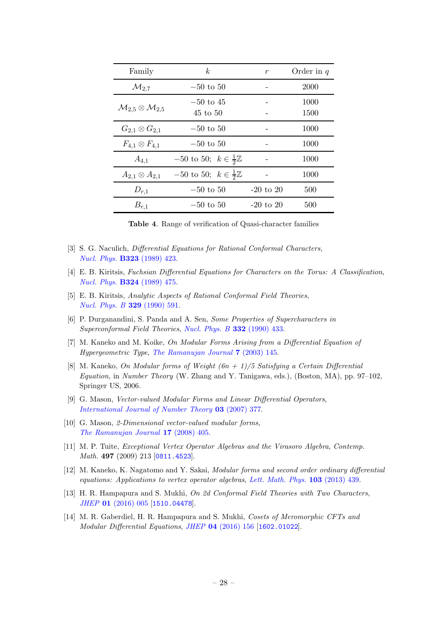| Family                                        | k <sub>i</sub>                             | $\boldsymbol{r}$ | Order in $q$ |
|-----------------------------------------------|--------------------------------------------|------------------|--------------|
| $\mathcal{M}_{2,7}$                           | $-50$ to $50$                              |                  | 2000         |
| $\mathcal{M}_{2,5} \otimes \mathcal{M}_{2,5}$ | $-50$ to 45                                |                  | 1000         |
|                                               | $45$ to $50$                               |                  | 1500         |
| $G_{2,1}\otimes G_{2,1}$                      | $-50$ to $50$                              |                  | 1000         |
| $F_{4,1}\otimes F_{4,1}$                      | $-50$ to $50$                              |                  | 1000         |
| $A_{4,1}$                                     | $-50$ to 50; $k \in \frac{1}{2}\mathbb{Z}$ |                  | 1000         |
| $A_{2,1} \otimes A_{2,1}$                     | $-50$ to 50; $k \in \frac{1}{2}\mathbb{Z}$ |                  | 1000         |
| $D_{r,1}$                                     | $-50$ to $50$                              | $-20$ to $20$    | 500          |
| $B_{r,1}$                                     | $-50$ to $50$                              | $-20$ to $20$    | 500          |

<span id="page-28-7"></span>Table 4. Range of verification of Quasi-character families

- <span id="page-28-2"></span>[3] S. G. Naculich, *Differential Equations for Rational Conformal Characters*, [Nucl. Phys.](https://doi.org/10.1016/0550-3213(89)90150-8) B323 (1989) 423.
- [4] E. B. Kiritsis, Fuchsian Differential Equations for Characters on the Torus: A Classification, [Nucl. Phys.](https://doi.org/10.1016/0550-3213(89)90475-6) B324 (1989) 475.
- [5] E. B. Kiritsis, Analytic Aspects of Rational Conformal Field Theories, [Nucl. Phys. B](https://doi.org/10.1016/0550-3213(90)90073-M) 329 (1990) 591.
- [6] P. Durganandini, S. Panda and A. Sen, Some Properties of Supercharacters in Superconformal Field Theories, [Nucl. Phys. B](https://doi.org/10.1016/0550-3213(90)90104-L) 332 (1990) 433.
- <span id="page-28-3"></span>[7] M. Kaneko and M. Koike, On Modular Forms Arising from a Differential Equation of Hypergeometric Type, [The Ramanujan Journal](https://doi.org/10.1023/A:1026291027692) 7 (2003) 145.
- <span id="page-28-4"></span>[8] M. Kaneko, On Modular forms of Weight  $(6n + 1)/5$  Satisfying a Certain Differential Equation, in Number Theory (W. Zhang and Y. Tanigawa, eds.), (Boston, MA), pp. 97–102, Springer US, 2006.
- [9] G. Mason, Vector-valued Modular Forms and Linear Differential Operators, [International Journal of Number Theory](https://doi.org/10.1142/S1793042107000973) 03 (2007) 377.
- [10] G. Mason, 2-Dimensional vector-valued modular forms, [The Ramanujan Journal](https://doi.org/10.1007/s11139-007-9054-4) 17 (2008) 405.
- <span id="page-28-5"></span>[11] M. P. Tuite, Exceptional Vertex Operator Algebras and the Virasoro Algebra, Contemp. Math. 497 (2009) 213 [[0811.4523](https://arxiv.org/abs/0811.4523)].
- <span id="page-28-6"></span>[12] M. Kaneko, K. Nagatomo and Y. Sakai, Modular forms and second order ordinary differential equations: Applications to vertex operator algebras, [Lett. Math. Phys.](https://doi.org/10.1007/s11005-012-0602-5) 103 (2013) 439.
- <span id="page-28-1"></span>[13] H. R. Hampapura and S. Mukhi, On 2d Conformal Field Theories with Two Characters, JHEP 01 [\(2016\) 005](https://doi.org/10.1007/JHEP01(2016)005) [[1510.04478](https://arxiv.org/abs/1510.04478)].
- <span id="page-28-0"></span>[14] M. R. Gaberdiel, H. R. Hampapura and S. Mukhi, Cosets of Meromorphic CFTs and Modular Differential Equations, JHEP 04 [\(2016\) 156](https://doi.org/10.1007/JHEP04(2016)156) [[1602.01022](https://arxiv.org/abs/1602.01022)].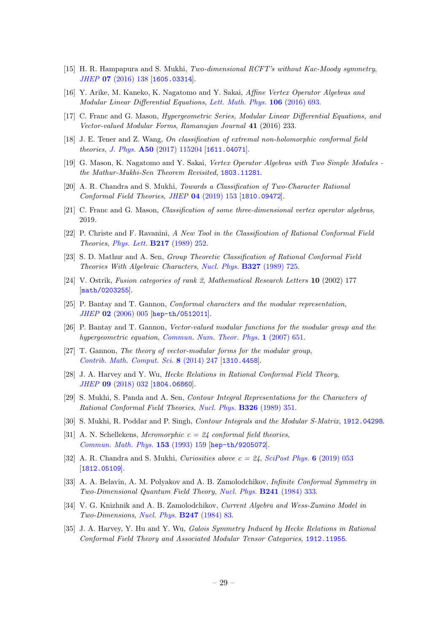- <span id="page-29-14"></span>[15] H. R. Hampapura and S. Mukhi, Two-dimensional RCFT's without Kac-Moody symmetry, JHEP 07 [\(2016\) 138](https://doi.org/10.1007/JHEP07(2016)138) [[1605.03314](https://arxiv.org/abs/1605.03314)].
- [16] Y. Arike, M. Kaneko, K. Nagatomo and Y. Sakai, Affine Vertex Operator Algebras and Modular Linear Differential Equations, [Lett. Math. Phys.](https://doi.org/10.1007/s11005-016-0837-7) 106 (2016) 693.
- [17] C. Franc and G. Mason, Hypergeometric Series, Modular Linear Differential Equations, and Vector-valued Modular Forms, Ramanujan Journal 41 (2016) 233.
- [18] J. E. Tener and Z. Wang, On classification of extremal non-holomorphic conformal field theories, J. Phys. A50 [\(2017\) 115204](https://doi.org/10.1088/1751-8121/aa59cd) [[1611.04071](https://arxiv.org/abs/1611.04071)].
- [19] G. Mason, K. Nagatomo and Y. Sakai, Vertex Operator Algebras with Two Simple Modules the Mathur-Mukhi-Sen Theorem Revisited, [1803.11281](https://arxiv.org/abs/1803.11281).
- <span id="page-29-10"></span>[20] A. R. Chandra and S. Mukhi, Towards a Classification of Two-Character Rational Conformal Field Theories, JHEP 04 [\(2019\) 153](https://doi.org/10.1007/JHEP04(2019)153) [[1810.09472](https://arxiv.org/abs/1810.09472)].
- <span id="page-29-0"></span>[21] C. Franc and G. Mason, Classification of some three-dimensional vertex operator algebras, 2019.
- <span id="page-29-1"></span>[22] P. Christe and F. Ravanini, A New Tool in the Classification of Rational Conformal Field Theories, [Phys. Lett.](https://doi.org/10.1016/0370-2693(89)90861-7) B217 (1989) 252.
- [23] S. D. Mathur and A. Sen, Group Theoretic Classification of Rational Conformal Field Theories With Algebraic Characters, [Nucl. Phys.](https://doi.org/10.1016/0550-3213(89)90312-X) B327 (1989) 725.
- <span id="page-29-2"></span>[24] V. Ostrik, Fusion categories of rank 2, Mathematical Research Letters 10 (2002) 177 [[math/0203255](https://arxiv.org/abs/math/0203255)].
- <span id="page-29-3"></span>[25] P. Bantay and T. Gannon, Conformal characters and the modular representation, JHEP 02 [\(2006\) 005](https://doi.org/10.1088/1126-6708/2006/02/005) [[hep-th/0512011](https://arxiv.org/abs/hep-th/0512011)].
- [26] P. Bantay and T. Gannon, Vector-valued modular functions for the modular group and the hypergeometric equation, [Commun. Num. Theor. Phys.](https://doi.org/10.4310/CNTP.2007.v1.n4.a2) 1 (2007) 651.
- <span id="page-29-4"></span>[27] T. Gannon, The theory of vector-modular forms for the modular group, [Contrib. Math. Comput. Sci.](https://doi.org/10.1007/978-3-662-43831-2_9) 8 (2014) 247 [[1310.4458](https://arxiv.org/abs/1310.4458)].
- <span id="page-29-5"></span>[28] J. A. Harvey and Y. Wu, Hecke Relations in Rational Conformal Field Theory, JHEP 09 [\(2018\) 032](https://doi.org/10.1007/JHEP09(2018)032) [[1804.06860](https://arxiv.org/abs/1804.06860)].
- <span id="page-29-6"></span>[29] S. Mukhi, S. Panda and A. Sen, Contour Integral Representations for the Characters of Rational Conformal Field Theories, [Nucl. Phys.](https://doi.org/10.1016/0550-3213(89)90136-3) **B326** (1989) 351.
- <span id="page-29-7"></span>[30] S. Mukhi, R. Poddar and P. Singh, Contour Integrals and the Modular S-Matrix, [1912.04298](https://arxiv.org/abs/1912.04298).
- <span id="page-29-12"></span>[31] A. N. Schellekens, Meromorphic  $c = 24$  conformal field theories, [Commun. Math. Phys.](https://doi.org/10.1007/BF02099044) 153 (1993) 159 [[hep-th/9205072](https://arxiv.org/abs/hep-th/9205072)].
- <span id="page-29-11"></span>[32] A. R. Chandra and S. Mukhi, *Curiosities above*  $c = 24$ , *[SciPost Phys.](https://doi.org/10.21468/SciPostPhys.6.5.053)* 6 (2019) 053 [[1812.05109](https://arxiv.org/abs/1812.05109)].
- <span id="page-29-8"></span>[33] A. A. Belavin, A. M. Polyakov and A. B. Zamolodchikov, Infinite Conformal Symmetry in Two-Dimensional Quantum Field Theory, [Nucl. Phys.](https://doi.org/10.1016/0550-3213(84)90052-X) B241 (1984) 333.
- <span id="page-29-9"></span>[34] V. G. Knizhnik and A. B. Zamolodchikov, Current Algebra and Wess-Zumino Model in Two-Dimensions, [Nucl. Phys.](https://doi.org/10.1016/0550-3213(84)90374-2) B247 (1984) 83.
- <span id="page-29-13"></span>[35] J. A. Harvey, Y. Hu and Y. Wu, Galois Symmetry Induced by Hecke Relations in Rational Conformal Field Theory and Associated Modular Tensor Categories, [1912.11955](https://arxiv.org/abs/1912.11955).